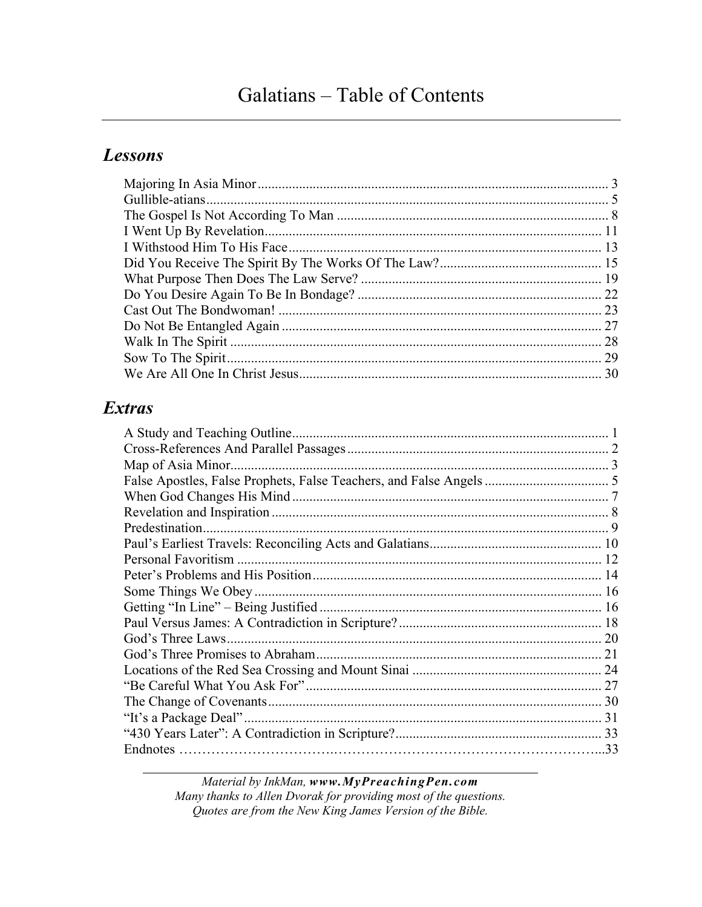## **Lessons**

| 28 |
|----|
| 29 |
|    |
|    |

### **Extras**

Material by InkMan, www.MyPreachingPen.com Many thanks to Allen Dvorak for providing most of the questions. Quotes are from the New King James Version of the Bible.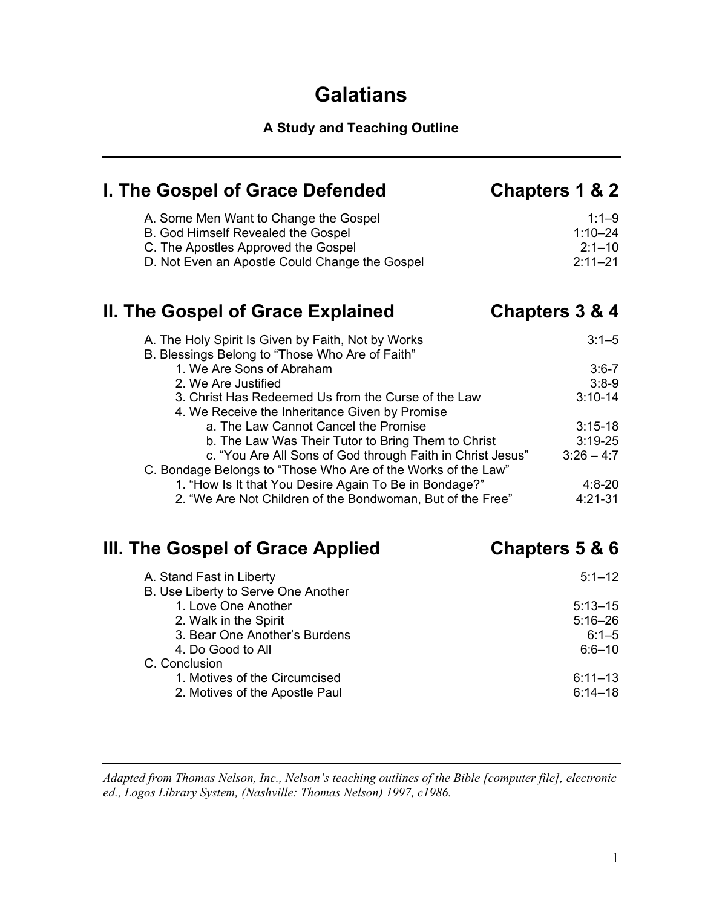## **Galatians**

## **A Study and Teaching Outline**

| I. The Gospel of Grace Defended                                                                                                                                      | Chapters 1 & 2                                        |
|----------------------------------------------------------------------------------------------------------------------------------------------------------------------|-------------------------------------------------------|
| A. Some Men Want to Change the Gospel<br>B. God Himself Revealed the Gospel<br>C. The Apostles Approved the Gospel<br>D. Not Even an Apostle Could Change the Gospel | $1:1 - 9$<br>$1:10 - 24$<br>$2:1 - 10$<br>$2:11 - 21$ |
| II. The Gospel of Grace Explained                                                                                                                                    | Chapters 3 & 4                                        |
| A. The Holy Spirit Is Given by Faith, Not by Works<br>B. Blessings Belong to "Those Who Are of Faith"                                                                | $3:1 - 5$                                             |
| 1. We Are Sons of Abraham                                                                                                                                            | $3:6 - 7$                                             |
| 2. We Are Justified                                                                                                                                                  | $3:8-9$                                               |
| 3. Christ Has Redeemed Us from the Curse of the Law<br>4. We Receive the Inheritance Given by Promise                                                                | $3:10-14$                                             |
| a. The Law Cannot Cancel the Promise                                                                                                                                 | $3:15-18$                                             |
| b. The Law Was Their Tutor to Bring Them to Christ                                                                                                                   | $3:19-25$                                             |
| c. "You Are All Sons of God through Faith in Christ Jesus"                                                                                                           | $3:26 - 4:7$                                          |
| C. Bondage Belongs to "Those Who Are of the Works of the Law"                                                                                                        |                                                       |
| 1. "How Is It that You Desire Again To Be in Bondage?"                                                                                                               | $4:8 - 20$                                            |
| 2. "We Are Not Children of the Bondwoman, But of the Free"                                                                                                           | $4:21 - 31$                                           |
| III. The Gospel of Grace Applied                                                                                                                                     | Chapters 5 & 6                                        |
| A. Stand Fast in Liberty                                                                                                                                             | $5:1 - 12$                                            |
| B. Use Liberty to Serve One Another                                                                                                                                  |                                                       |
| 1. Love One Another                                                                                                                                                  | $5:13 - 15$                                           |
| 2. Walk in the Spirit                                                                                                                                                | $5:16 - 26$                                           |
| 3. Bear One Another's Burdens                                                                                                                                        | $6:1 - 5$                                             |
| 4. Do Good to All                                                                                                                                                    | $6:6 - 10$                                            |
| C. Conclusion<br>1. Motives of the Circumcised                                                                                                                       | $6:11 - 13$                                           |
| 2. Motives of the Apostle Paul                                                                                                                                       | $6:14 - 18$                                           |
|                                                                                                                                                                      |                                                       |

*Adapted from Thomas Nelson, Inc., Nelson's teaching outlines of the Bible [computer file], electronic ed., Logos Library System, (Nashville: Thomas Nelson) 1997, c1986.*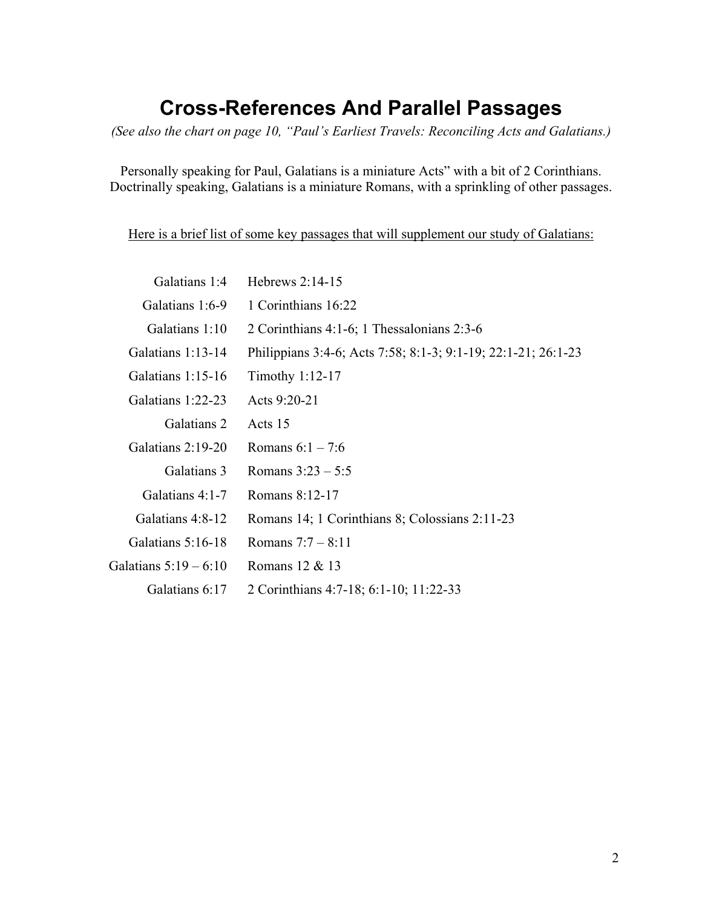## **Cross-References And Parallel Passages**

*(See also the chart on page 10, "Paul's Earliest Travels: Reconciling Acts and Galatians.)* 

Personally speaking for Paul, Galatians is a miniature Acts" with a bit of 2 Corinthians. Doctrinally speaking, Galatians is a miniature Romans, with a sprinkling of other passages.

Here is a brief list of some key passages that will supplement our study of Galatians:

| Galatians 1:4         | Hebrews $2:14-15$                                             |
|-----------------------|---------------------------------------------------------------|
| Galatians 1:6-9       | 1 Corinthians 16:22                                           |
| Galatians 1:10        | 2 Corinthians 4:1-6; 1 Thessalonians 2:3-6                    |
| Galatians $1:13-14$   | Philippians 3:4-6; Acts 7:58; 8:1-3; 9:1-19; 22:1-21; 26:1-23 |
| Galatians $1:15-16$   | Timothy 1:12-17                                               |
| Galatians 1:22-23     | Acts 9:20-21                                                  |
| Galatians 2           | Acts 15                                                       |
| Galatians 2:19-20     | Romans $6:1 - 7:6$                                            |
| Galatians 3           | Romans $3:23 - 5:5$                                           |
| Galatians $4:1-7$     | Romans 8:12-17                                                |
| Galatians 4:8-12      | Romans 14; 1 Corinthians 8; Colossians 2:11-23                |
| Galatians 5:16-18     | Romans $7:7 - 8:11$                                           |
| Galatians $5:19-6:10$ | Romans 12 & 13                                                |
| Galatians 6:17        | 2 Corinthians 4:7-18; 6:1-10; 11:22-33                        |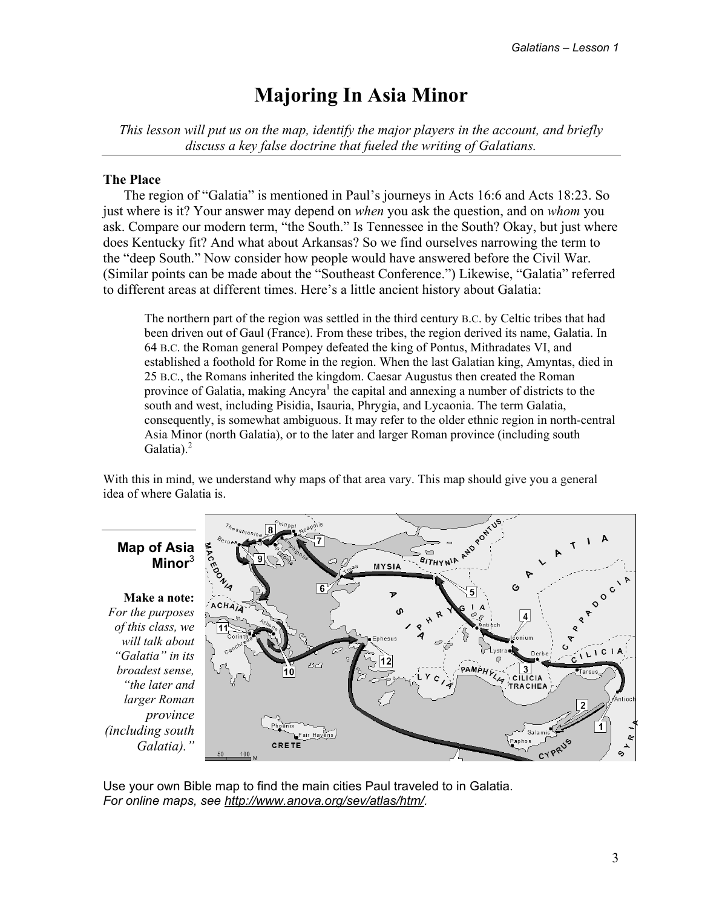## **Majoring In Asia Minor**

*This lesson will put us on the map, identify the major players in the account, and briefly discuss a key false doctrine that fueled the writing of Galatians.* 

#### **The Place**

The region of "Galatia" is mentioned in Paul's journeys in Acts 16:6 and Acts 18:23. So just where is it? Your answer may depend on *when* you ask the question, and on *whom* you ask. Compare our modern term, "the South." Is Tennessee in the South? Okay, but just where does Kentucky fit? And what about Arkansas? So we find ourselves narrowing the term to the "deep South." Now consider how people would have answered before the Civil War. (Similar points can be made about the "Southeast Conference.") Likewise, "Galatia" referred to different areas at different times. Here's a little ancient history about Galatia:

The northern part of the region was settled in the third century B.C. by Celtic tribes that had been driven out of Gaul (France). From these tribes, the region derived its name, Galatia. In 64 B.C. the Roman general Pompey defeated the king of Pontus, Mithradates VI, and established a foothold for Rome in the region. When the last Galatian king, Amyntas, died in 25 B.C., the Romans inherited the kingdom. Caesar Augustus then created the Roman province of Galatia, making Ancyra<sup>1</sup> the capital and annexing a number of districts to the south and west, including Pisidia, Isauria, Phrygia, and Lycaonia. The term Galatia, consequently, is somewhat ambiguous. It may refer to the older ethnic region in north-central Asia Minor (north Galatia), or to the later and larger Roman province (including south Galatia). $<sup>2</sup>$ </sup>

With this in mind, we understand why maps of that area vary. This map should give you a general idea of where Galatia is.



Use your own Bible map to find the main cities Paul traveled to in Galatia. *For online maps, see http://www.anova.org/sev/atlas/htm/.* 

# **Map of Asia**

*For the purposes of this class, we will talk about "Galatia" in its broadest sense, "the later and larger Roman (including south*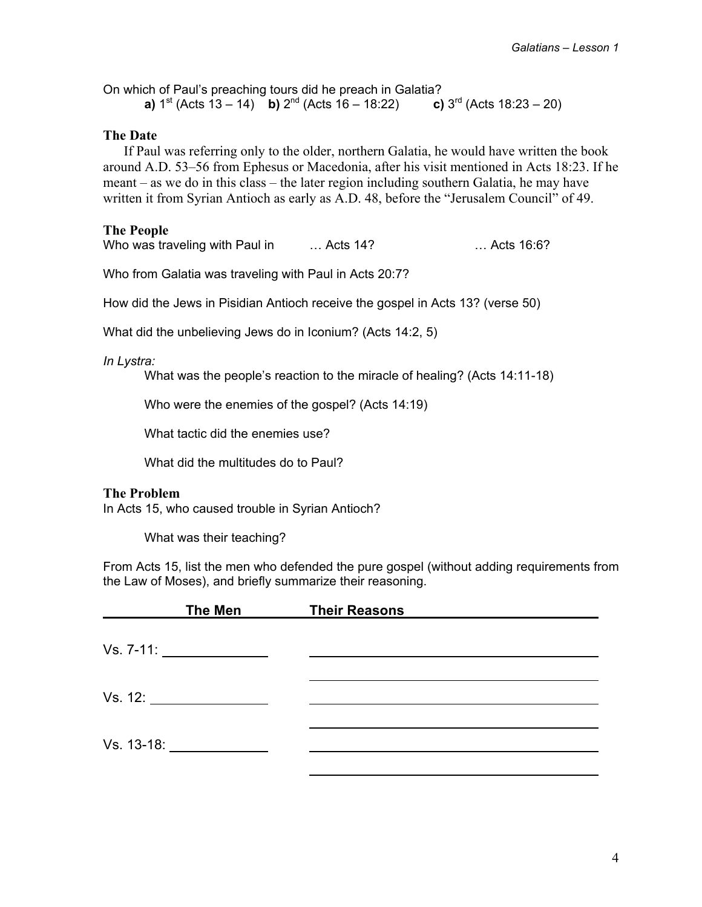On which of Paul's preaching tours did he preach in Galatia?<br> **a**)  $1^{st}$  (Acts 13 – 14) **b**)  $2^{nd}$  (Acts 16 – 18:22) **c**)  $3^{rd}$  (Acts 18:23 – 20) **a)**  $1^{st}$  (Acts  $13 - 14$ ) **b)**  $2^{nd}$  (Acts  $16 - 18:22$ )

#### **The Date**

If Paul was referring only to the older, northern Galatia, he would have written the book around A.D. 53–56 from Ephesus or Macedonia, after his visit mentioned in Acts 18:23. If he meant – as we do in this class – the later region including southern Galatia, he may have written it from Syrian Antioch as early as A.D. 48, before the "Jerusalem Council" of 49.

#### **The People**

Who was traveling with Paul in marked to Acts 14? The was the set of the Who was the Second with Paul in metal

Who from Galatia was traveling with Paul in Acts 20:7?

How did the Jews in Pisidian Antioch receive the gospel in Acts 13? (verse 50)

What did the unbelieving Jews do in Iconium? (Acts 14:2, 5)

*In Lystra:* 

What was the people's reaction to the miracle of healing? (Acts 14:11-18)

Who were the enemies of the gospel? (Acts 14:19)

What tactic did the enemies use?

What did the multitudes do to Paul?

#### **The Problem**

In Acts 15, who caused trouble in Syrian Antioch?

What was their teaching?

From Acts 15, list the men who defended the pure gospel (without adding requirements from the Law of Moses), and briefly summarize their reasoning.

|            | <b>The Men</b> | <b>Their Reasons</b> |  |
|------------|----------------|----------------------|--|
|            |                |                      |  |
|            |                |                      |  |
| Vs. 12:    |                |                      |  |
| Vs. 13-18: |                |                      |  |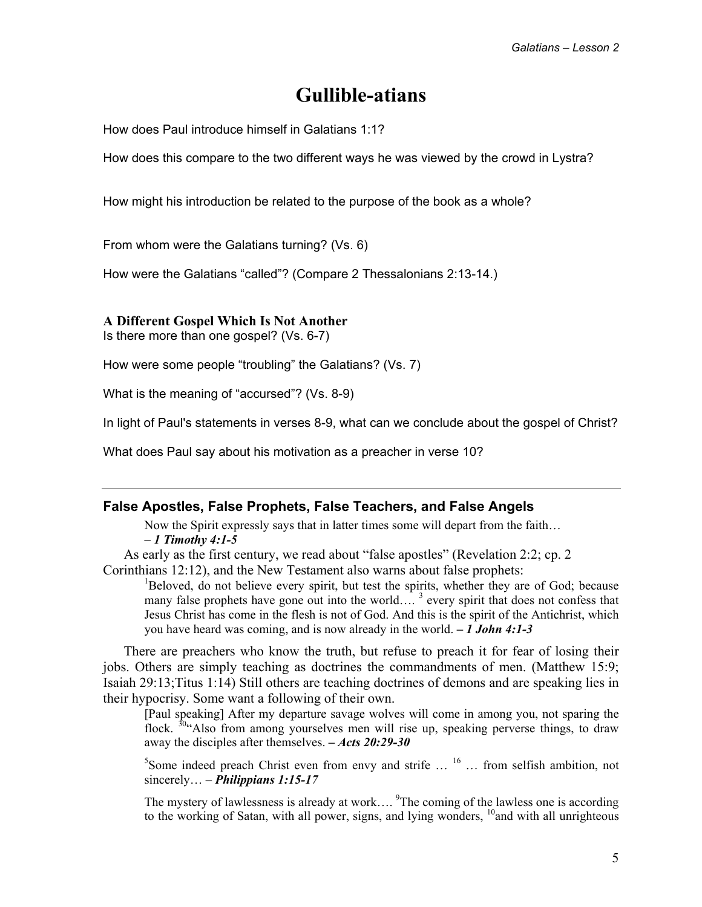## **Gullible-atians**

How does Paul introduce himself in Galatians 1:1?

How does this compare to the two different ways he was viewed by the crowd in Lystra?

How might his introduction be related to the purpose of the book as a whole?

From whom were the Galatians turning? (Vs. 6)

How were the Galatians "called"? (Compare 2 Thessalonians 2:13-14.)

#### **A Different Gospel Which Is Not Another**

Is there more than one gospel? (Vs. 6-7)

How were some people "troubling" the Galatians? (Vs. 7)

What is the meaning of "accursed"? (Vs. 8-9)

In light of Paul's statements in verses 8-9, what can we conclude about the gospel of Christ?

What does Paul say about his motivation as a preacher in verse 10?

#### **False Apostles, False Prophets, False Teachers, and False Angels**

Now the Spirit expressly says that in latter times some will depart from the faith… *– 1 Timothy 4:1-5* 

As early as the first century, we read about "false apostles" (Revelation 2:2; cp. 2

Corinthians 12:12), and the New Testament also warns about false prophets:

<sup>1</sup>Beloved, do not believe every spirit, but test the spirits, whether they are of God; because many false prophets have gone out into the world....<sup>3</sup> every spirit that does not confess that Jesus Christ has come in the flesh is not of God. And this is the spirit of the Antichrist, which you have heard was coming, and is now already in the world. *– 1 John 4:1-3* 

There are preachers who know the truth, but refuse to preach it for fear of losing their jobs. Others are simply teaching as doctrines the commandments of men. (Matthew 15:9; Isaiah 29:13;Titus 1:14) Still others are teaching doctrines of demons and are speaking lies in their hypocrisy. Some want a following of their own.

[Paul speaking] After my departure savage wolves will come in among you, not sparing the flock. <sup>30</sup> Also from among yourselves men will rise up, speaking perverse things, to draw away the disciples after themselves. *– Acts 20:29-30* 

<sup>5</sup>Some indeed preach Christ even from envy and strife  $\ldots$  <sup>16</sup>  $\ldots$  from selfish ambition, not sincerely… *– Philippians 1:15-17* 

The mystery of lawlessness is already at work....  ${}^{9}$ The coming of the lawless one is according to the working of Satan, with all power, signs, and lying wonders,  $^{10}$  and with all unrighteous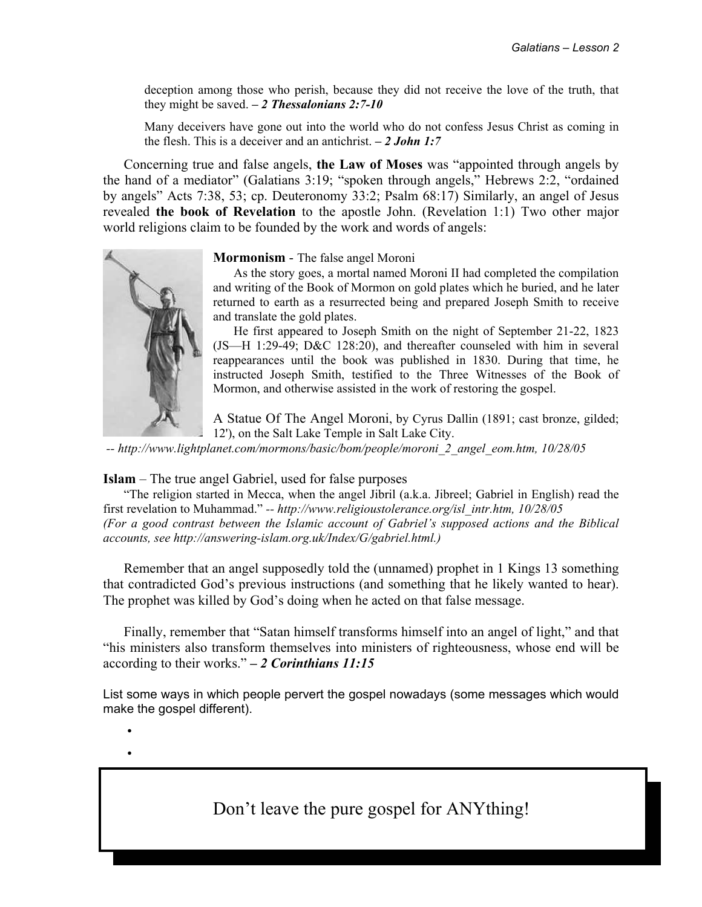6

deception among those who perish, because they did not receive the love of the truth, that they might be saved. *– 2 Thessalonians 2:7-10* 

Many deceivers have gone out into the world who do not confess Jesus Christ as coming in the flesh. This is a deceiver and an antichrist. *– 2 John 1:7* 

Concerning true and false angels, **the Law of Moses** was "appointed through angels by the hand of a mediator" (Galatians 3:19; "spoken through angels," Hebrews 2:2, "ordained by angels" Acts 7:38, 53; cp. Deuteronomy 33:2; Psalm 68:17) Similarly, an angel of Jesus revealed **the book of Revelation** to the apostle John. (Revelation 1:1) Two other major world religions claim to be founded by the work and words of angels:



#### **Mormonism** - The false angel Moroni

 As the story goes, a mortal named Moroni II had completed the compilation and writing of the Book of Mormon on gold plates which he buried, and he later returned to earth as a resurrected being and prepared Joseph Smith to receive and translate the gold plates.

 He first appeared to Joseph Smith on the night of September 21-22, 1823 (JS—H 1:29-49; D&C 128:20), and thereafter counseled with him in several reappearances until the book was published in 1830. During that time, he instructed Joseph Smith, testified to the Three Witnesses of the Book of Mormon, and otherwise assisted in the work of restoring the gospel.

A Statue Of The Angel Moroni, by Cyrus Dallin (1891; cast bronze, gilded; 12'), on the Salt Lake Temple in Salt Lake City.

 *-- http://www.lightplanet.com/mormons/basic/bom/people/moroni\_2\_angel\_eom.htm, 10/28/05* 

**Islam** – The true angel Gabriel, used for false purposes

"The religion started in Mecca, when the angel Jibril (a.k.a. Jibreel; Gabriel in English) read the first revelation to Muhammad." *-- http://www.religioustolerance.org/isl\_intr.htm, 10/28/05 (For a good contrast between the Islamic account of Gabriel's supposed actions and the Biblical accounts, see http://answering-islam.org.uk/Index/G/gabriel.html.)* 

Remember that an angel supposedly told the (unnamed) prophet in 1 Kings 13 something that contradicted God's previous instructions (and something that he likely wanted to hear). The prophet was killed by God's doing when he acted on that false message.

Finally, remember that "Satan himself transforms himself into an angel of light," and that "his ministers also transform themselves into ministers of righteousness, whose end will be according to their works." *– 2 Corinthians 11:15* 

List some ways in which people pervert the gospel nowadays (some messages which would make the gospel different).

 • •

Don't leave the pure gospel for ANYthing!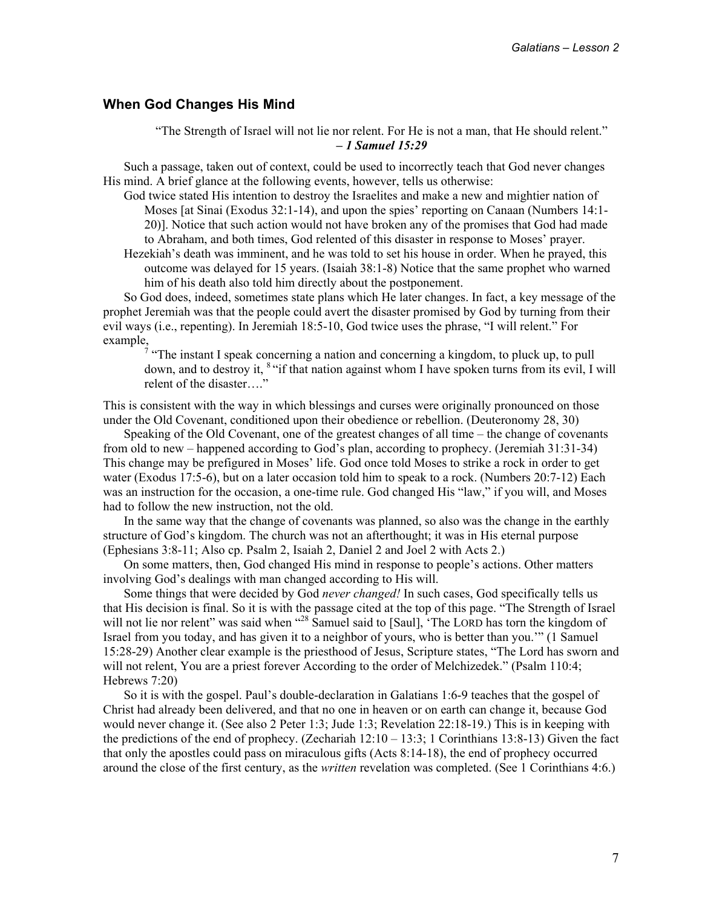#### **When God Changes His Mind**

"The Strength of Israel will not lie nor relent. For He is not a man, that He should relent." *– 1 Samuel 15:29* 

Such a passage, taken out of context, could be used to incorrectly teach that God never changes His mind. A brief glance at the following events, however, tells us otherwise:

God twice stated His intention to destroy the Israelites and make a new and mightier nation of Moses [at Sinai (Exodus 32:1-14), and upon the spies' reporting on Canaan (Numbers 14:1- 20)]. Notice that such action would not have broken any of the promises that God had made to Abraham, and both times, God relented of this disaster in response to Moses' prayer.

Hezekiah's death was imminent, and he was told to set his house in order. When he prayed, this outcome was delayed for 15 years. (Isaiah 38:1-8) Notice that the same prophet who warned him of his death also told him directly about the postponement.

So God does, indeed, sometimes state plans which He later changes. In fact, a key message of the prophet Jeremiah was that the people could avert the disaster promised by God by turning from their evil ways (i.e., repenting). In Jeremiah 18:5-10, God twice uses the phrase, "I will relent." For example,<br><sup>7</sup> "The instant I speak concerning a nation and concerning a kingdom, to pluck up, to pull

down, and to destroy it, 8 "if that nation against whom I have spoken turns from its evil, I will relent of the disaster…."

This is consistent with the way in which blessings and curses were originally pronounced on those under the Old Covenant, conditioned upon their obedience or rebellion. (Deuteronomy 28, 30)

Speaking of the Old Covenant, one of the greatest changes of all time – the change of covenants from old to new – happened according to God's plan, according to prophecy. (Jeremiah 31:31-34) This change may be prefigured in Moses' life. God once told Moses to strike a rock in order to get water (Exodus 17:5-6), but on a later occasion told him to speak to a rock. (Numbers 20:7-12) Each was an instruction for the occasion, a one-time rule. God changed His "law," if you will, and Moses had to follow the new instruction, not the old.

In the same way that the change of covenants was planned, so also was the change in the earthly structure of God's kingdom. The church was not an afterthought; it was in His eternal purpose (Ephesians 3:8-11; Also cp. Psalm 2, Isaiah 2, Daniel 2 and Joel 2 with Acts 2.)

On some matters, then, God changed His mind in response to people's actions. Other matters involving God's dealings with man changed according to His will.

Some things that were decided by God *never changed!* In such cases, God specifically tells us that His decision is final. So it is with the passage cited at the top of this page. "The Strength of Israel will not lie nor relent" was said when "<sup>28</sup> Samuel said to [Saul], 'The LORD has torn the kingdom of Israel from you today, and has given it to a neighbor of yours, who is better than you.'" (1 Samuel 15:28-29) Another clear example is the priesthood of Jesus, Scripture states, "The Lord has sworn and will not relent, You are a priest forever According to the order of Melchizedek." (Psalm 110:4; Hebrews 7:20)

So it is with the gospel. Paul's double-declaration in Galatians 1:6-9 teaches that the gospel of Christ had already been delivered, and that no one in heaven or on earth can change it, because God would never change it. (See also 2 Peter 1:3; Jude 1:3; Revelation 22:18-19.) This is in keeping with the predictions of the end of prophecy. (Zechariah  $12:10 - 13:3$ ; 1 Corinthians 13:8-13) Given the fact that only the apostles could pass on miraculous gifts (Acts 8:14-18), the end of prophecy occurred around the close of the first century, as the *written* revelation was completed. (See 1 Corinthians 4:6.)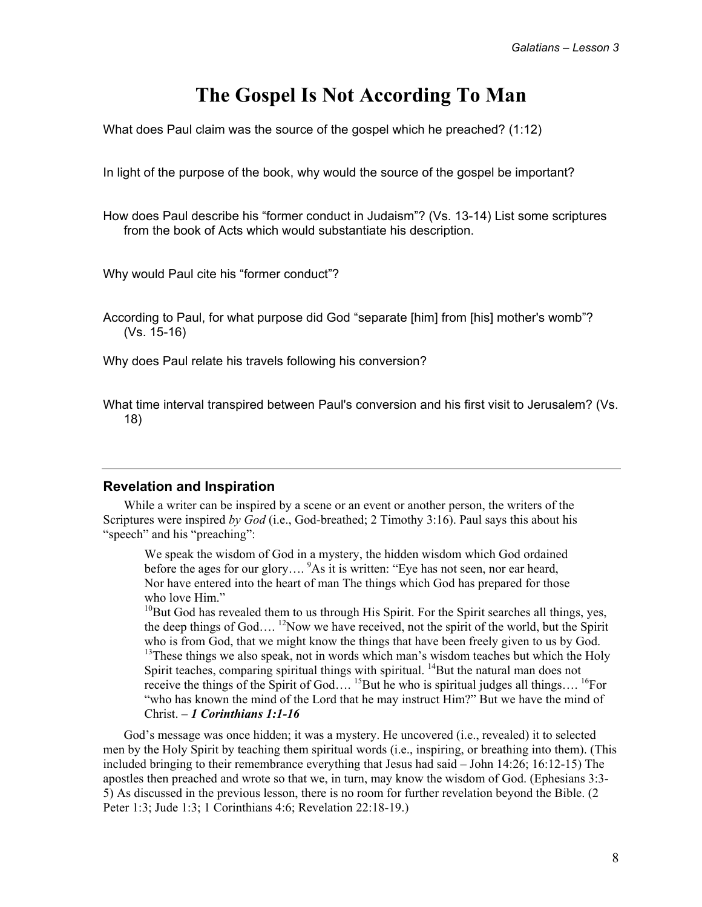## **The Gospel Is Not According To Man**

What does Paul claim was the source of the gospel which he preached? (1:12)

In light of the purpose of the book, why would the source of the gospel be important?

How does Paul describe his "former conduct in Judaism"? (Vs. 13-14) List some scriptures from the book of Acts which would substantiate his description.

Why would Paul cite his "former conduct"?

According to Paul, for what purpose did God "separate [him] from [his] mother's womb"? (Vs. 15-16)

Why does Paul relate his travels following his conversion?

What time interval transpired between Paul's conversion and his first visit to Jerusalem? (Vs. 18)

#### **Revelation and Inspiration**

While a writer can be inspired by a scene or an event or another person, the writers of the Scriptures were inspired *by God* (i.e., God-breathed; 2 Timothy 3:16). Paul says this about his "speech" and his "preaching":

We speak the wisdom of God in a mystery, the hidden wisdom which God ordained before the ages for our glory....<sup>9</sup>As it is written: "Eye has not seen, nor ear heard, Nor have entered into the heart of man The things which God has prepared for those who love Him."

 $10B$ ut God has revealed them to us through His Spirit. For the Spirit searches all things, yes, the deep things of God....<sup>12</sup>Now we have received, not the spirit of the world, but the Spirit who is from God, that we might know the things that have been freely given to us by God.  $13$ These things we also speak, not in words which man's wisdom teaches but which the Holy Spirit teaches, comparing spiritual things with spiritual. <sup>14</sup>But the natural man does not receive the things of the Spirit of God....<sup>15</sup>But he who is spiritual judges all things....<sup>16</sup>For "who has known the mind of the Lord that he may instruct Him?" But we have the mind of Christ. *– 1 Corinthians 1:1-16* 

God's message was once hidden; it was a mystery. He uncovered (i.e., revealed) it to selected men by the Holy Spirit by teaching them spiritual words (i.e., inspiring, or breathing into them). (This included bringing to their remembrance everything that Jesus had said – John 14:26; 16:12-15) The apostles then preached and wrote so that we, in turn, may know the wisdom of God. (Ephesians 3:3- 5) As discussed in the previous lesson, there is no room for further revelation beyond the Bible. (2 Peter 1:3; Jude 1:3; 1 Corinthians 4:6; Revelation 22:18-19.)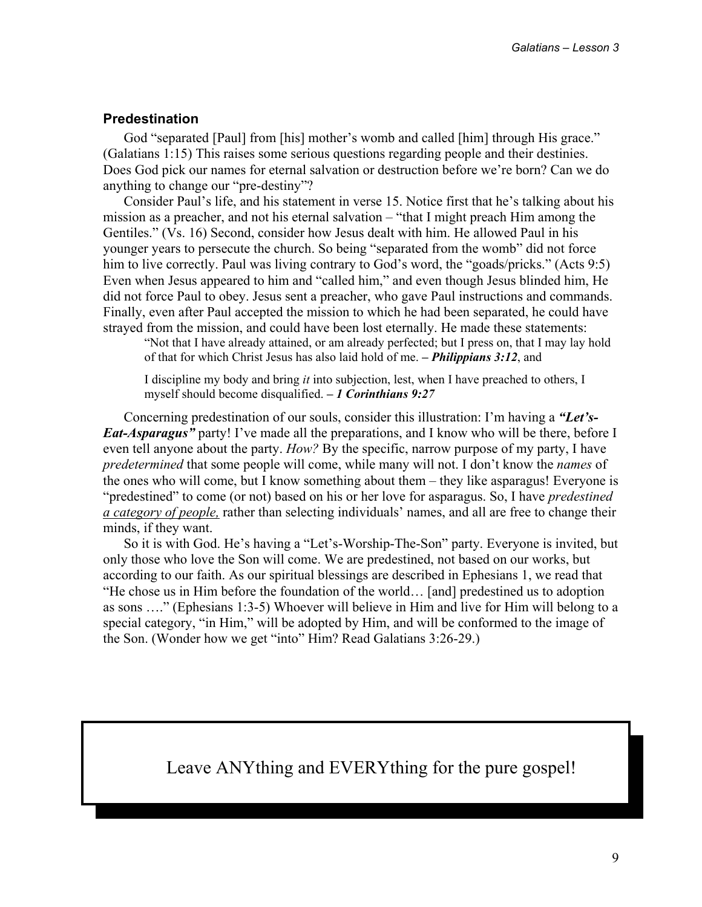#### **Predestination**

God "separated [Paul] from [his] mother's womb and called [him] through His grace." (Galatians 1:15) This raises some serious questions regarding people and their destinies. Does God pick our names for eternal salvation or destruction before we're born? Can we do anything to change our "pre-destiny"?

Consider Paul's life, and his statement in verse 15. Notice first that he's talking about his mission as a preacher, and not his eternal salvation – "that I might preach Him among the Gentiles." (Vs. 16) Second, consider how Jesus dealt with him. He allowed Paul in his younger years to persecute the church. So being "separated from the womb" did not force him to live correctly. Paul was living contrary to God's word, the "goads/pricks." (Acts 9:5) Even when Jesus appeared to him and "called him," and even though Jesus blinded him, He did not force Paul to obey. Jesus sent a preacher, who gave Paul instructions and commands. Finally, even after Paul accepted the mission to which he had been separated, he could have strayed from the mission, and could have been lost eternally. He made these statements:

"Not that I have already attained, or am already perfected; but I press on, that I may lay hold of that for which Christ Jesus has also laid hold of me. *– Philippians 3:12*, and

I discipline my body and bring *it* into subjection, lest, when I have preached to others, I myself should become disqualified. *– 1 Corinthians 9:27* 

Concerning predestination of our souls, consider this illustration: I'm having a *"Let's-Eat-Asparagus*" party! I've made all the preparations, and I know who will be there, before I even tell anyone about the party. *How?* By the specific, narrow purpose of my party, I have *predetermined* that some people will come, while many will not. I don't know the *names* of the ones who will come, but I know something about them – they like asparagus! Everyone is "predestined" to come (or not) based on his or her love for asparagus. So, I have *predestined a category of people,* rather than selecting individuals' names, and all are free to change their minds, if they want.

So it is with God. He's having a "Let's-Worship-The-Son" party. Everyone is invited, but only those who love the Son will come. We are predestined, not based on our works, but according to our faith. As our spiritual blessings are described in Ephesians 1, we read that "He chose us in Him before the foundation of the world… [and] predestined us to adoption as sons …." (Ephesians 1:3-5) Whoever will believe in Him and live for Him will belong to a special category, "in Him," will be adopted by Him, and will be conformed to the image of the Son. (Wonder how we get "into" Him? Read Galatians 3:26-29.)

Leave ANYthing and EVERYthing for the pure gospel!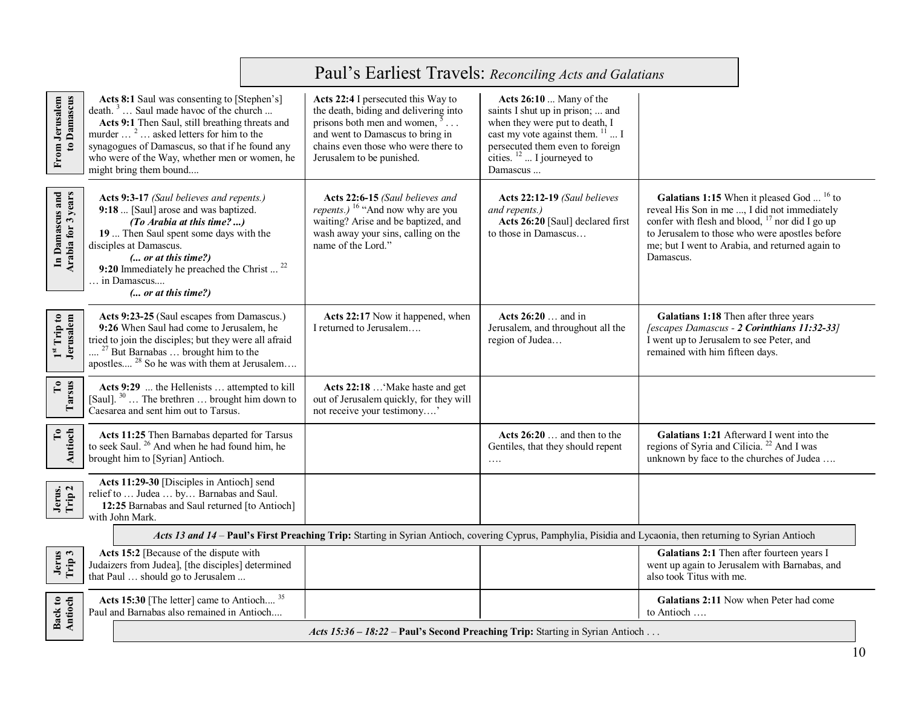|                                                                                                                                                              | Paul's Earliest Travels: Reconciling Acts and Galatians                                                                                                                                                                                                                                                                               |                                                                                                                                                                                                                               |                                                                                                                                                                                                                     |                                                                                                                                                                                                                                                                                     |
|--------------------------------------------------------------------------------------------------------------------------------------------------------------|---------------------------------------------------------------------------------------------------------------------------------------------------------------------------------------------------------------------------------------------------------------------------------------------------------------------------------------|-------------------------------------------------------------------------------------------------------------------------------------------------------------------------------------------------------------------------------|---------------------------------------------------------------------------------------------------------------------------------------------------------------------------------------------------------------------|-------------------------------------------------------------------------------------------------------------------------------------------------------------------------------------------------------------------------------------------------------------------------------------|
| to Damascus<br>From Jerusalem                                                                                                                                | Acts 8:1 Saul was consenting to [Stephen's]<br>death. <sup>3</sup> Saul made havoc of the church<br>Acts 9:1 Then Saul, still breathing threats and<br>murder <sup>2</sup> asked letters for him to the<br>synagogues of Damascus, so that if he found any<br>who were of the Way, whether men or women, he<br>might bring them bound | Acts 22:4 I persecuted this Way to<br>the death, biding and delivering into<br>prisons both men and women, $5 \ldots$<br>and went to Damascus to bring in<br>chains even those who were there to<br>Jerusalem to be punished. | Acts 26:10  Many of the<br>saints I shut up in prison;  and<br>when they were put to death, I<br>cast my vote against them. $^{11}$ I<br>persecuted them even to foreign<br>cities. $12$ I journeyed to<br>Damascus |                                                                                                                                                                                                                                                                                     |
| In Damascus and<br>Arabia for 3 years                                                                                                                        | Acts 9:3-17 (Saul believes and repents.)<br>9:18  [Saul] arose and was baptized.<br>(To Arabia at this time?)<br>19  Then Saul spent some days with the<br>disciples at Damascus.<br>(  or at this time?)<br>9:20 Immediately he preached the Christ $^{22}$<br>. in Damascus<br>( or at this time?)                                  | Acts 22:6-15 (Saul believes and<br><i>repents.</i> ) <sup>16</sup> "And now why are you<br>waiting? Arise and be baptized, and<br>wash away your sins, calling on the<br>name of the Lord."                                   | Acts 22:12-19 (Saul believes<br>and repents.)<br>Acts 26:20 [Saul] declared first<br>to those in Damascus                                                                                                           | Galatians 1:15 When it pleased God <sup>16</sup> to<br>reveal His Son in me , I did not immediately<br>confer with flesh and blood, <sup>17</sup> nor did I go up<br>to Jerusalem to those who were apostles before<br>me; but I went to Arabia, and returned again to<br>Damascus. |
| $1^{\rm st}$ Trip to Jerusalem                                                                                                                               | Acts 9:23-25 (Saul escapes from Damascus.)<br>9:26 When Saul had come to Jerusalem, he<br>tried to join the disciples; but they were all afraid<br>$27$ But Barnabas  brought him to the<br>apostles <sup>28</sup> So he was with them at Jerusalem                                                                                   | Acts 22:17 Now it happened, when<br>I returned to Jerusalem                                                                                                                                                                   | Acts 26:20  and in<br>Jerusalem, and throughout all the<br>region of Judea                                                                                                                                          | Galatians 1:18 Then after three years<br>[escapes Damascus - 2 Corinthians 11:32-33]<br>I went up to Jerusalem to see Peter, and<br>remained with him fifteen days.                                                                                                                 |
| $\mathbf{C}$<br>Tarsus                                                                                                                                       | Acts 9:29  the Hellenists  attempted to kill<br>[Saul]. <sup>30</sup> The brethren  brought him down to<br>Caesarea and sent him out to Tarsus.                                                                                                                                                                                       | Acts 22:18  Make haste and get<br>out of Jerusalem quickly, for they will<br>not receive your testimony'                                                                                                                      |                                                                                                                                                                                                                     |                                                                                                                                                                                                                                                                                     |
| To<br>Antioch                                                                                                                                                | Acts 11:25 Then Barnabas departed for Tarsus<br>to seek Saul. <sup>26</sup> And when he had found him, he<br>brought him to [Syrian] Antioch.                                                                                                                                                                                         |                                                                                                                                                                                                                               | Acts $26:20$ and then to the<br>Gentiles, that they should repent<br>$\ldots$                                                                                                                                       | Galatians 1:21 Afterward I went into the<br>regions of Syria and Cilicia. <sup>22</sup> And I was<br>unknown by face to the churches of Judea                                                                                                                                       |
| Jerus.<br>Trip 2                                                                                                                                             | Acts 11:29-30 [Disciples in Antioch] send<br>relief to  Judea  by Barnabas and Saul.<br>12:25 Barnabas and Saul returned [to Antioch]<br>with John Mark.                                                                                                                                                                              |                                                                                                                                                                                                                               |                                                                                                                                                                                                                     |                                                                                                                                                                                                                                                                                     |
| Acts 13 and 14 - Paul's First Preaching Trip: Starting in Syrian Antioch, covering Cyprus, Pamphylia, Pisidia and Lycaonia, then returning to Syrian Antioch |                                                                                                                                                                                                                                                                                                                                       |                                                                                                                                                                                                                               |                                                                                                                                                                                                                     |                                                                                                                                                                                                                                                                                     |
| Jerus<br>Trip 3                                                                                                                                              | Acts 15:2 [Because of the dispute with<br>Judaizers from Judea], [the disciples] determined<br>that Paul  should go to Jerusalem                                                                                                                                                                                                      |                                                                                                                                                                                                                               |                                                                                                                                                                                                                     | Galatians 2:1 Then after fourteen years I<br>went up again to Jerusalem with Barnabas, and<br>also took Titus with me.                                                                                                                                                              |
| Back to<br>Antioch                                                                                                                                           | Acts 15:30 [The letter] came to Antioch <sup>35</sup><br>Paul and Barnabas also remained in Antioch                                                                                                                                                                                                                                   |                                                                                                                                                                                                                               |                                                                                                                                                                                                                     | Galatians 2:11 Now when Peter had come<br>to Antioch                                                                                                                                                                                                                                |
|                                                                                                                                                              | Acts 15:36 - 18:22 - Paul's Second Preaching Trip: Starting in Syrian Antioch                                                                                                                                                                                                                                                         |                                                                                                                                                                                                                               |                                                                                                                                                                                                                     |                                                                                                                                                                                                                                                                                     |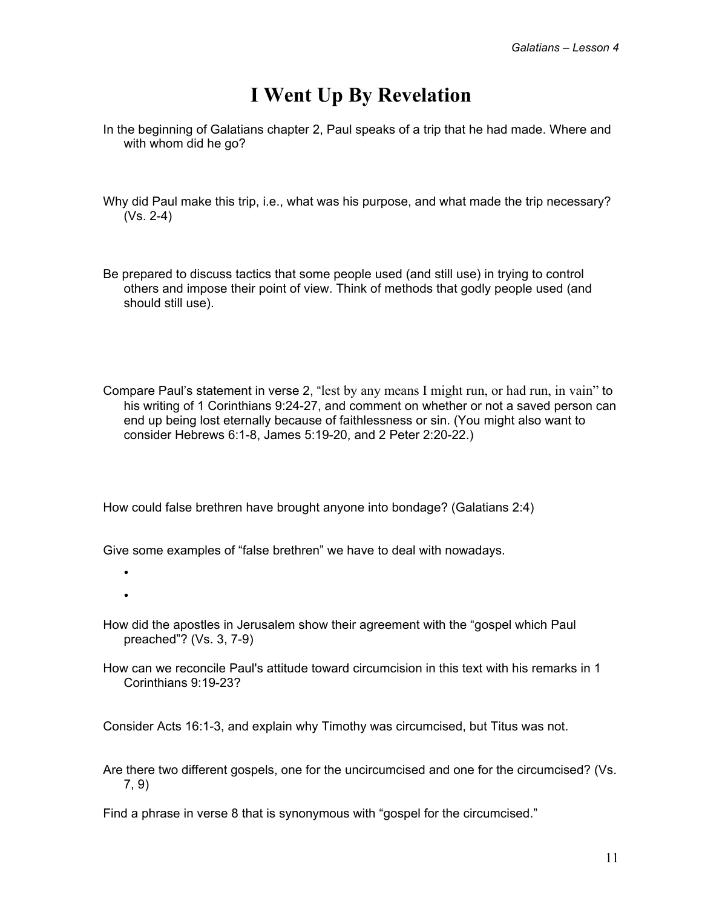## **I Went Up By Revelation**

- In the beginning of Galatians chapter 2, Paul speaks of a trip that he had made. Where and with whom did he go?
- Why did Paul make this trip, i.e., what was his purpose, and what made the trip necessary? (Vs. 2-4)
- Be prepared to discuss tactics that some people used (and still use) in trying to control others and impose their point of view. Think of methods that godly people used (and should still use).
- Compare Paul's statement in verse 2, "lest by any means I might run, or had run, in vain" to his writing of 1 Corinthians 9:24-27, and comment on whether or not a saved person can end up being lost eternally because of faithlessness or sin. (You might also want to consider Hebrews 6:1-8, James 5:19-20, and 2 Peter 2:20-22.)

How could false brethren have brought anyone into bondage? (Galatians 2:4)

Give some examples of "false brethren" we have to deal with nowadays.

- •
- •
- How did the apostles in Jerusalem show their agreement with the "gospel which Paul preached"? (Vs. 3, 7-9)
- How can we reconcile Paul's attitude toward circumcision in this text with his remarks in 1 Corinthians 9:19-23?

Consider Acts 16:1-3, and explain why Timothy was circumcised, but Titus was not.

Are there two different gospels, one for the uncircumcised and one for the circumcised? (Vs. 7, 9)

Find a phrase in verse 8 that is synonymous with "gospel for the circumcised."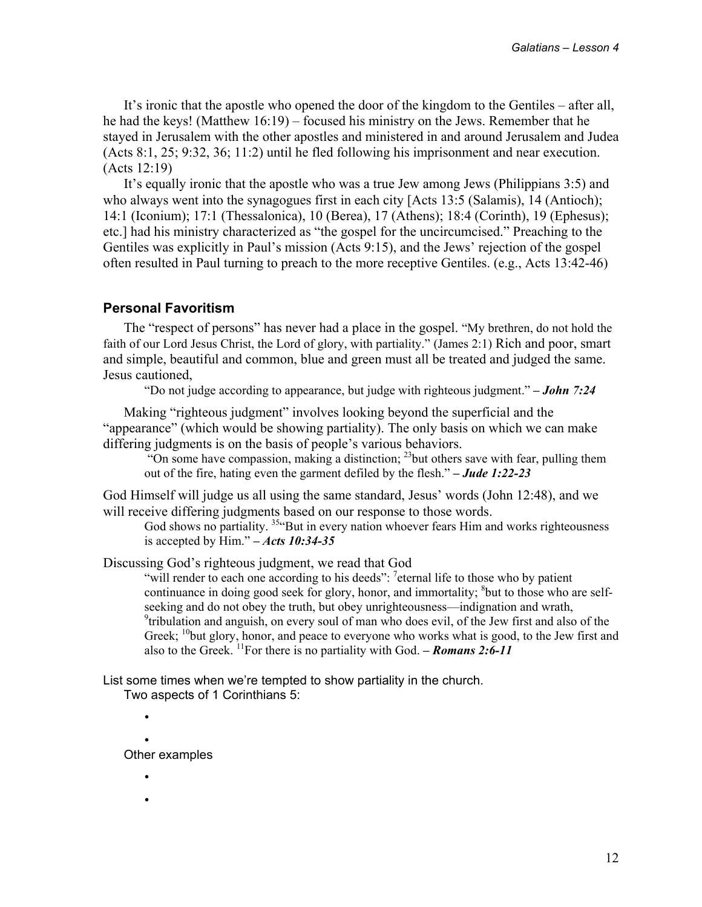It's ironic that the apostle who opened the door of the kingdom to the Gentiles – after all, he had the keys! (Matthew 16:19) – focused his ministry on the Jews. Remember that he stayed in Jerusalem with the other apostles and ministered in and around Jerusalem and Judea (Acts 8:1, 25; 9:32, 36; 11:2) until he fled following his imprisonment and near execution. (Acts 12:19)

It's equally ironic that the apostle who was a true Jew among Jews (Philippians 3:5) and who always went into the synagogues first in each city [Acts 13:5 (Salamis), 14 (Antioch); 14:1 (Iconium); 17:1 (Thessalonica), 10 (Berea), 17 (Athens); 18:4 (Corinth), 19 (Ephesus); etc.] had his ministry characterized as "the gospel for the uncircumcised." Preaching to the Gentiles was explicitly in Paul's mission (Acts 9:15), and the Jews' rejection of the gospel often resulted in Paul turning to preach to the more receptive Gentiles. (e.g., Acts 13:42-46)

#### **Personal Favoritism**

The "respect of persons" has never had a place in the gospel. "My brethren, do not hold the faith of our Lord Jesus Christ, the Lord of glory, with partiality." (James 2:1) Rich and poor, smart and simple, beautiful and common, blue and green must all be treated and judged the same. Jesus cautioned,

"Do not judge according to appearance, but judge with righteous judgment." *– John 7:24* 

Making "righteous judgment" involves looking beyond the superficial and the "appearance" (which would be showing partiality). The only basis on which we can make differing judgments is on the basis of people's various behaviors.

"On some have compassion, making a distinction;  $^{23}$  but others save with fear, pulling them out of the fire, hating even the garment defiled by the flesh." *– Jude 1:22-23* 

God Himself will judge us all using the same standard, Jesus' words (John 12:48), and we will receive differing judgments based on our response to those words.

God shows no partiality.  $354$ But in every nation whoever fears Him and works righteousness is accepted by Him." *– Acts 10:34-35* 

Discussing God's righteous judgment, we read that God

"will render to each one according to his deeds":  $7$  eternal life to those who by patient continuance in doing good seek for glory, honor, and immortality; <sup>8</sup>but to those who are selfseeking and do not obey the truth, but obey unrighteousness—indignation and wrath, <sup>9</sup>tribulation and anguish, on every soul of man who does evil, of the Jew first and also of the Greek;  $^{10}$ but glory, honor, and peace to everyone who works what is good, to the Jew first and also to the Greek. <sup>11</sup>For there is no partiality with God. – **Romans 2:6-11** 

List some times when we're tempted to show partiality in the church. Two aspects of 1 Corinthians 5:

• •

Other examples

- •
- •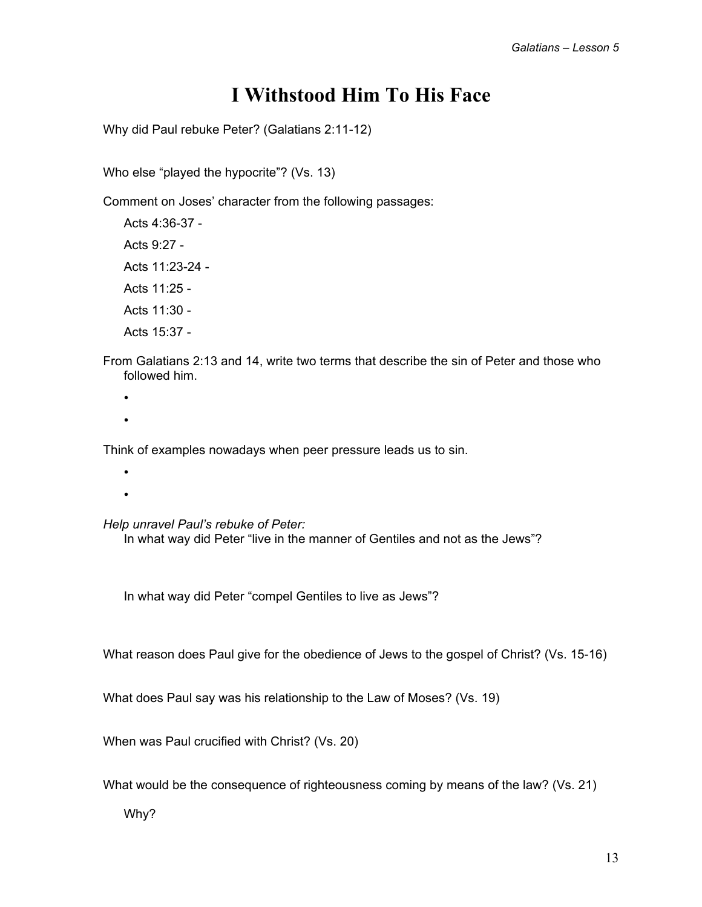## **I Withstood Him To His Face**

Why did Paul rebuke Peter? (Galatians 2:11-12)

Who else "played the hypocrite"? (Vs. 13)

Comment on Joses' character from the following passages:

Acts 4:36-37 - Acts 9:27 - Acts 11:23-24 - Acts 11:25 - Acts 11:30 - Acts 15:37 -

From Galatians 2:13 and 14, write two terms that describe the sin of Peter and those who followed him.

- •
- •

Think of examples nowadays when peer pressure leads us to sin.

- •
- •

*Help unravel Paul's rebuke of Peter:* 

In what way did Peter "live in the manner of Gentiles and not as the Jews"?

In what way did Peter "compel Gentiles to live as Jews"?

What reason does Paul give for the obedience of Jews to the gospel of Christ? (Vs. 15-16)

What does Paul say was his relationship to the Law of Moses? (Vs. 19)

When was Paul crucified with Christ? (Vs. 20)

What would be the consequence of righteousness coming by means of the law? (Vs. 21)

Why?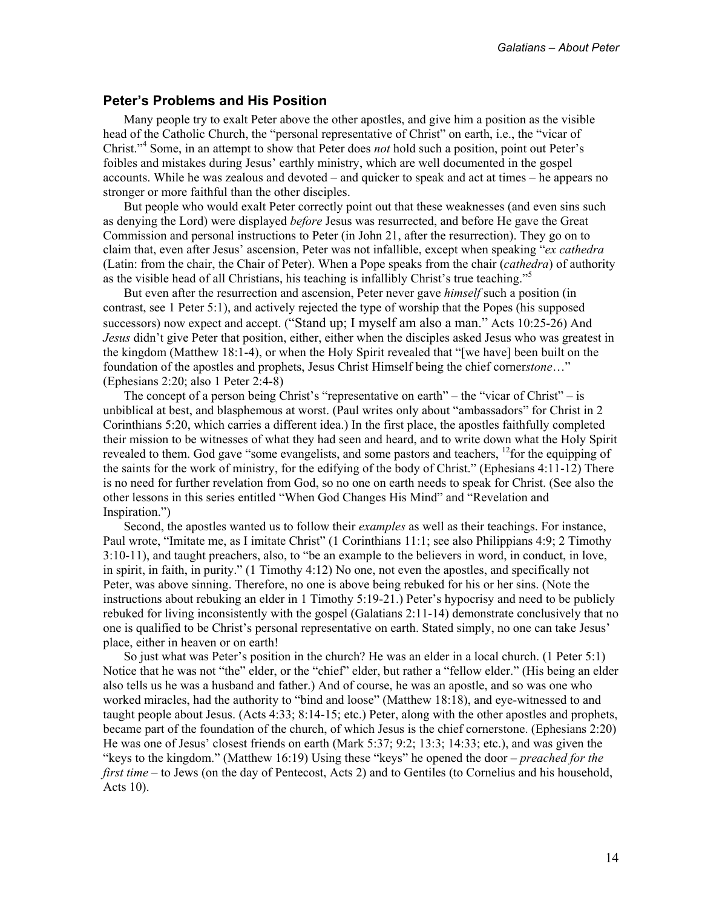#### **Peter's Problems and His Position**

Many people try to exalt Peter above the other apostles, and give him a position as the visible head of the Catholic Church, the "personal representative of Christ" on earth, i.e., the "vicar of Christ."4 Some, in an attempt to show that Peter does *not* hold such a position, point out Peter's foibles and mistakes during Jesus' earthly ministry, which are well documented in the gospel accounts. While he was zealous and devoted – and quicker to speak and act at times – he appears no stronger or more faithful than the other disciples.

But people who would exalt Peter correctly point out that these weaknesses (and even sins such as denying the Lord) were displayed *before* Jesus was resurrected, and before He gave the Great Commission and personal instructions to Peter (in John 21, after the resurrection). They go on to claim that, even after Jesus' ascension, Peter was not infallible, except when speaking "*ex cathedra* (Latin: from the chair, the Chair of Peter). When a Pope speaks from the chair (*cathedra*) of authority as the visible head of all Christians, his teaching is infallibly Christ's true teaching."<sup>5</sup>

But even after the resurrection and ascension, Peter never gave *himself* such a position (in contrast, see 1 Peter 5:1), and actively rejected the type of worship that the Popes (his supposed successors) now expect and accept. ("Stand up; I myself am also a man." Acts 10:25-26) And *Jesus* didn't give Peter that position, either, either when the disciples asked Jesus who was greatest in the kingdom (Matthew 18:1-4), or when the Holy Spirit revealed that "[we have] been built on the foundation of the apostles and prophets, Jesus Christ Himself being the chief corner*stone*…" (Ephesians 2:20; also 1 Peter 2:4-8)

The concept of a person being Christ's "representative on earth" – the "vicar of Christ" – is unbiblical at best, and blasphemous at worst. (Paul writes only about "ambassadors" for Christ in 2 Corinthians 5:20, which carries a different idea.) In the first place, the apostles faithfully completed their mission to be witnesses of what they had seen and heard, and to write down what the Holy Spirit revealed to them. God gave "some evangelists, and some pastors and teachers, <sup>12</sup>for the equipping of the saints for the work of ministry, for the edifying of the body of Christ." (Ephesians 4:11-12) There is no need for further revelation from God, so no one on earth needs to speak for Christ. (See also the other lessons in this series entitled "When God Changes His Mind" and "Revelation and Inspiration.")

Second, the apostles wanted us to follow their *examples* as well as their teachings. For instance, Paul wrote, "Imitate me, as I imitate Christ" (1 Corinthians 11:1; see also Philippians 4:9; 2 Timothy 3:10-11), and taught preachers, also, to "be an example to the believers in word, in conduct, in love, in spirit, in faith, in purity." (1 Timothy 4:12) No one, not even the apostles, and specifically not Peter, was above sinning. Therefore, no one is above being rebuked for his or her sins. (Note the instructions about rebuking an elder in 1 Timothy 5:19-21.) Peter's hypocrisy and need to be publicly rebuked for living inconsistently with the gospel (Galatians 2:11-14) demonstrate conclusively that no one is qualified to be Christ's personal representative on earth. Stated simply, no one can take Jesus' place, either in heaven or on earth!

So just what was Peter's position in the church? He was an elder in a local church. (1 Peter 5:1) Notice that he was not "the" elder, or the "chief" elder, but rather a "fellow elder." (His being an elder also tells us he was a husband and father.) And of course, he was an apostle, and so was one who worked miracles, had the authority to "bind and loose" (Matthew 18:18), and eye-witnessed to and taught people about Jesus. (Acts 4:33; 8:14-15; etc.) Peter, along with the other apostles and prophets, became part of the foundation of the church, of which Jesus is the chief cornerstone. (Ephesians 2:20) He was one of Jesus' closest friends on earth (Mark 5:37; 9:2; 13:3; 14:33; etc.), and was given the "keys to the kingdom." (Matthew 16:19) Using these "keys" he opened the door *– preached for the first time* – to Jews (on the day of Pentecost, Acts 2) and to Gentiles (to Cornelius and his household, Acts 10).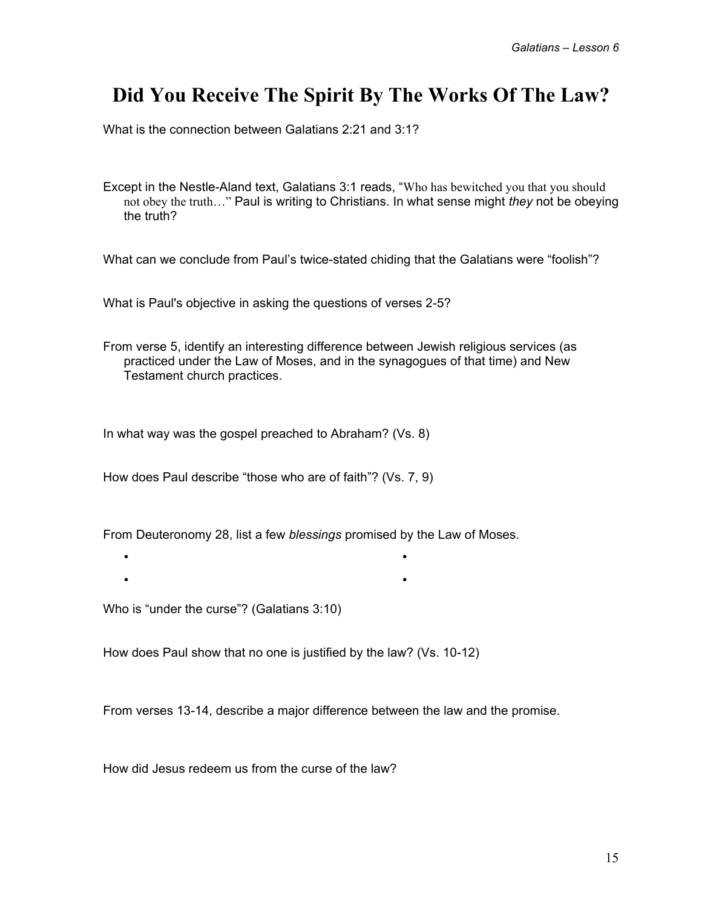## **Did You Receive The Spirit By The Works Of The Law?**

What is the connection between Galatians 2:21 and 3:1?

Except in the Nestle-Aland text, Galatians 3:1 reads, "Who has bewitched you that you should not obey the truth…" Paul is writing to Christians. In what sense might *they* not be obeying the truth?

What can we conclude from Paul's twice-stated chiding that the Galatians were "foolish"?

What is Paul's objective in asking the questions of verses 2-5?

From verse 5, identify an interesting difference between Jewish religious services (as practiced under the Law of Moses, and in the synagogues of that time) and New Testament church practices.

In what way was the gospel preached to Abraham? (Vs. 8)

How does Paul describe "those who are of faith"? (Vs. 7, 9)

From Deuteronomy 28, list a few *blessings* promised by the Law of Moses.

• • • •

Who is "under the curse"? (Galatians 3:10)

How does Paul show that no one is justified by the law? (Vs. 10-12)

From verses 13-14, describe a major difference between the law and the promise.

How did Jesus redeem us from the curse of the law?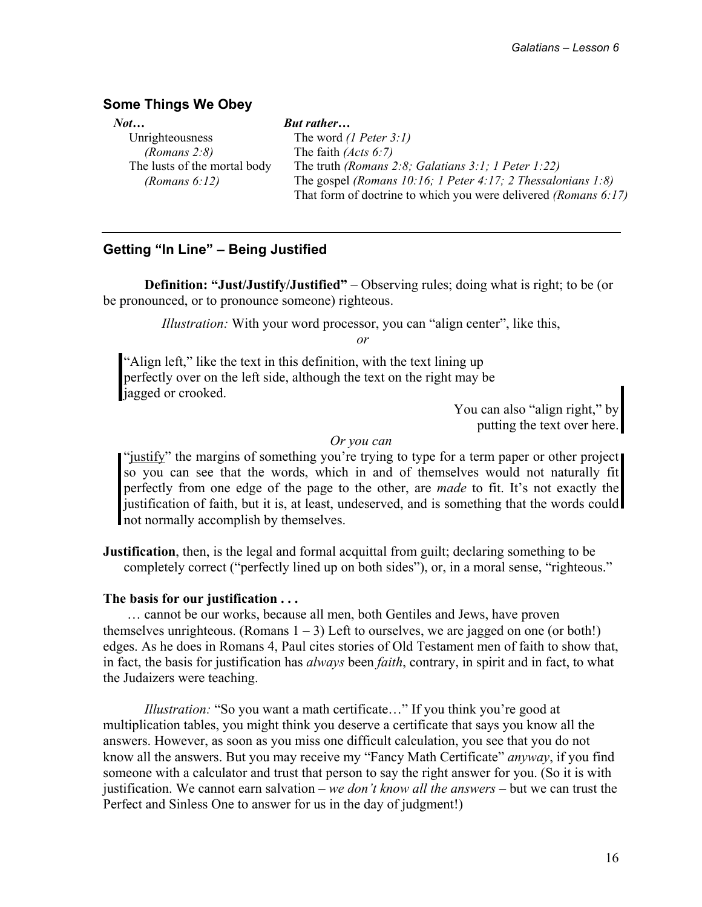#### **Some Things We Obey**

| <b>But rather</b>                                                      |
|------------------------------------------------------------------------|
| The word $(I$ <i>Peter</i> 3:1)                                        |
| The faith $(Acts 6:7)$                                                 |
| The truth (Romans 2:8; Galatians 3:1; 1 Peter 1:22)                    |
| The gospel (Romans 10:16; 1 Peter 4:17; 2 Thessalonians 1:8)           |
| That form of doctrine to which you were delivered <i>(Romans 6:17)</i> |
|                                                                        |

#### **Getting "In Line" – Being Justified**

**Definition: "Just/Justify/Justified"** – Observing rules; doing what is right; to be (or be pronounced, or to pronounce someone) righteous.

*Illustration:* With your word processor, you can "align center", like this,

 *or* 

"Align left," like the text in this definition, with the text lining up perfectly over on the left side, although the text on the right may be iagged or crooked.

> You can also "align right," by putting the text over here.

#### *Or you can*

"justify" the margins of something you're trying to type for a term paper or other project so you can see that the words, which in and of themselves would not naturally fit perfectly from one edge of the page to the other, are *made* to fit. It's not exactly the justification of faith, but it is, at least, undeserved, and is something that the words could not normally accomplish by themselves.

**Justification**, then, is the legal and formal acquittal from guilt; declaring something to be completely correct ("perfectly lined up on both sides"), or, in a moral sense, "righteous."

#### **The basis for our justification . . .**

 … cannot be our works, because all men, both Gentiles and Jews, have proven themselves unrighteous. (Romans  $1 - 3$ ) Left to ourselves, we are jagged on one (or both!) edges. As he does in Romans 4, Paul cites stories of Old Testament men of faith to show that, in fact, the basis for justification has *always* been *faith*, contrary, in spirit and in fact, to what the Judaizers were teaching.

*Illustration:* "So you want a math certificate..." If you think you're good at multiplication tables, you might think you deserve a certificate that says you know all the answers. However, as soon as you miss one difficult calculation, you see that you do not know all the answers. But you may receive my "Fancy Math Certificate" *anyway*, if you find someone with a calculator and trust that person to say the right answer for you. (So it is with justification. We cannot earn salvation – *we don't know all the answers* – but we can trust the Perfect and Sinless One to answer for us in the day of judgment!)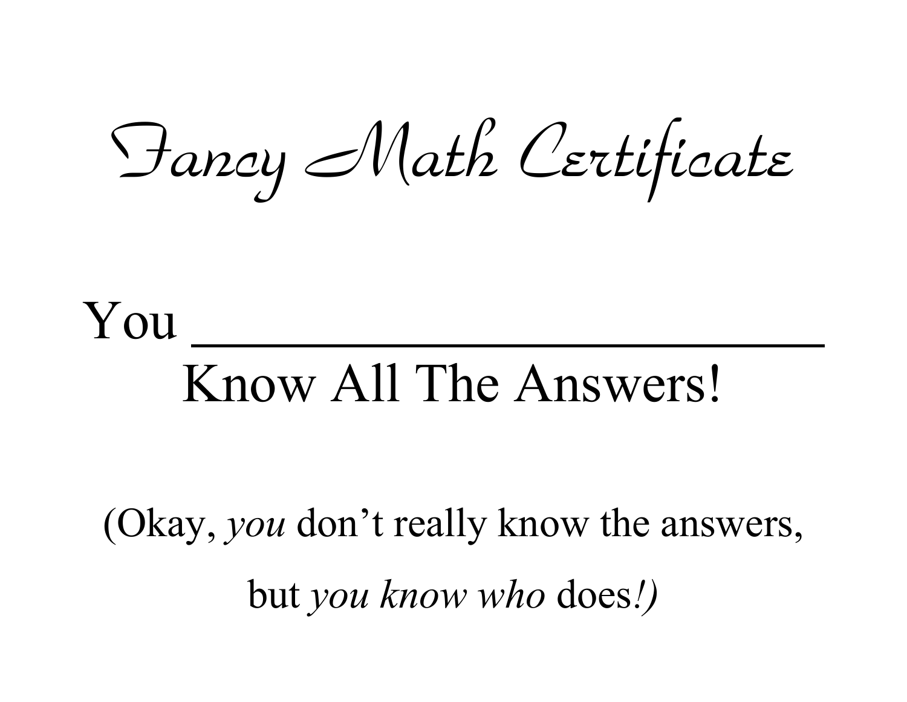Fancy Math Certificate

# You Know All The Answers!

(Okay, *you* don't really know the answers, but *you know who* does*!)*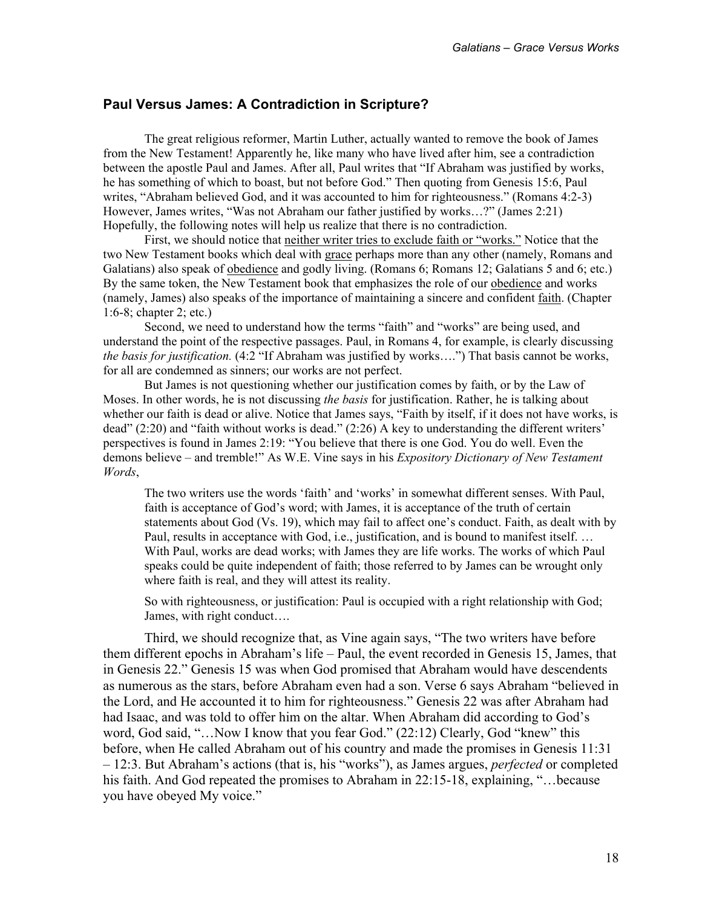#### **Paul Versus James: A Contradiction in Scripture?**

 The great religious reformer, Martin Luther, actually wanted to remove the book of James from the New Testament! Apparently he, like many who have lived after him, see a contradiction between the apostle Paul and James. After all, Paul writes that "If Abraham was justified by works, he has something of which to boast, but not before God." Then quoting from Genesis 15:6, Paul writes, "Abraham believed God, and it was accounted to him for righteousness." (Romans 4:2-3) However, James writes, "Was not Abraham our father justified by works…?" (James 2:21) Hopefully, the following notes will help us realize that there is no contradiction.

 First, we should notice that neither writer tries to exclude faith or "works." Notice that the two New Testament books which deal with grace perhaps more than any other (namely, Romans and Galatians) also speak of obedience and godly living. (Romans 6; Romans 12; Galatians 5 and 6; etc.) By the same token, the New Testament book that emphasizes the role of our obedience and works (namely, James) also speaks of the importance of maintaining a sincere and confident faith. (Chapter 1:6-8; chapter 2; etc.)

 Second, we need to understand how the terms "faith" and "works" are being used, and understand the point of the respective passages. Paul, in Romans 4, for example, is clearly discussing *the basis for justification.* (4:2 "If Abraham was justified by works….") That basis cannot be works, for all are condemned as sinners; our works are not perfect.

But James is not questioning whether our justification comes by faith, or by the Law of Moses. In other words, he is not discussing *the basis* for justification. Rather, he is talking about whether our faith is dead or alive. Notice that James says, "Faith by itself, if it does not have works, is dead" (2:20) and "faith without works is dead." (2:26) A key to understanding the different writers' perspectives is found in James 2:19: "You believe that there is one God. You do well. Even the demons believe – and tremble!" As W.E. Vine says in his *Expository Dictionary of New Testament Words*,

The two writers use the words 'faith' and 'works' in somewhat different senses. With Paul, faith is acceptance of God's word; with James, it is acceptance of the truth of certain statements about God (Vs. 19), which may fail to affect one's conduct. Faith, as dealt with by Paul, results in acceptance with God, i.e., justification, and is bound to manifest itself. … With Paul, works are dead works; with James they are life works. The works of which Paul speaks could be quite independent of faith; those referred to by James can be wrought only where faith is real, and they will attest its reality.

So with righteousness, or justification: Paul is occupied with a right relationship with God; James, with right conduct….

 Third, we should recognize that, as Vine again says, "The two writers have before them different epochs in Abraham's life – Paul, the event recorded in Genesis 15, James, that in Genesis 22." Genesis 15 was when God promised that Abraham would have descendents as numerous as the stars, before Abraham even had a son. Verse 6 says Abraham "believed in the Lord, and He accounted it to him for righteousness." Genesis 22 was after Abraham had had Isaac, and was told to offer him on the altar. When Abraham did according to God's word, God said, "...Now I know that you fear God." (22:12) Clearly, God "knew" this before, when He called Abraham out of his country and made the promises in Genesis 11:31 – 12:3. But Abraham's actions (that is, his "works"), as James argues, *perfected* or completed his faith. And God repeated the promises to Abraham in 22:15-18, explaining, "... because you have obeyed My voice."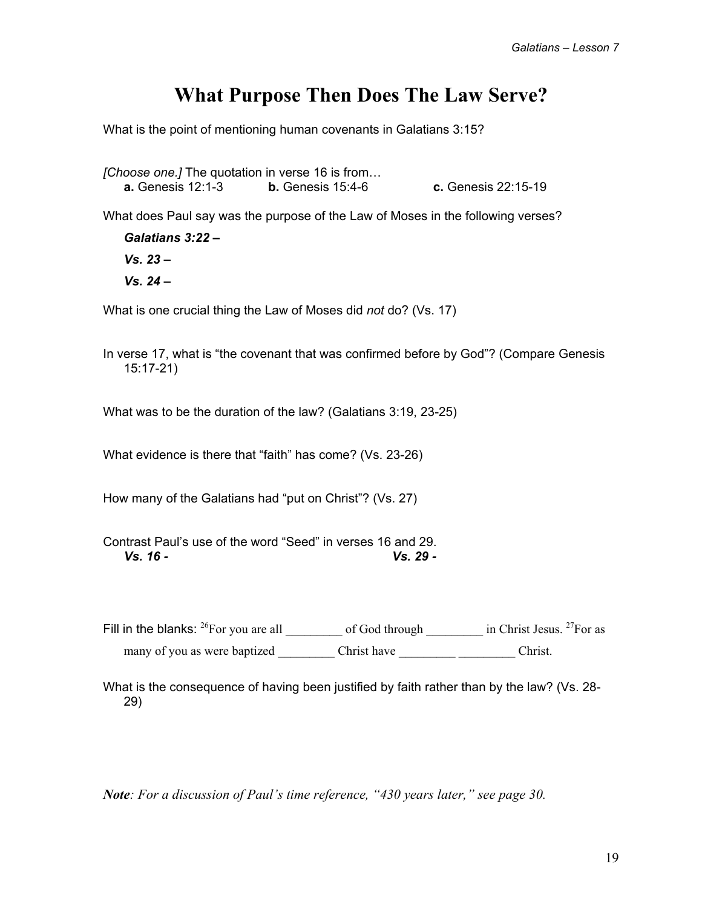## **What Purpose Then Does The Law Serve?**

What is the point of mentioning human covenants in Galatians 3:15?

*[Choose one.]* The quotation in verse 16 is from… **a.** Genesis 12:1-3 **b.** Genesis 15:4-6 **c.** Genesis 22:15-19

What does Paul say was the purpose of the Law of Moses in the following verses?

 *Galatians 3:22 – Vs. 23 – Vs. 24 –* 

What is one crucial thing the Law of Moses did *not* do? (Vs. 17)

In verse 17, what is "the covenant that was confirmed before by God"? (Compare Genesis 15:17-21)

What was to be the duration of the law? (Galatians 3:19, 23-25)

What evidence is there that "faith" has come? (Vs. 23-26)

How many of the Galatians had "put on Christ"? (Vs. 27)

Contrast Paul's use of the word "Seed" in verses 16 and 29.  *Vs. 16 - Vs. 29 -* 

Fill in the blanks:  $^{26}$ For you are all of God through  $\frac{1}{27}$  in Christ Jesus.  $^{27}$ For as many of you as were baptized Christ have \_\_\_\_\_\_\_\_\_\_\_\_\_\_\_\_\_\_\_\_\_\_\_ Christ.

What is the consequence of having been justified by faith rather than by the law? (Vs. 28- 29)

*Note: For a discussion of Paul's time reference, "430 years later," see page 30.*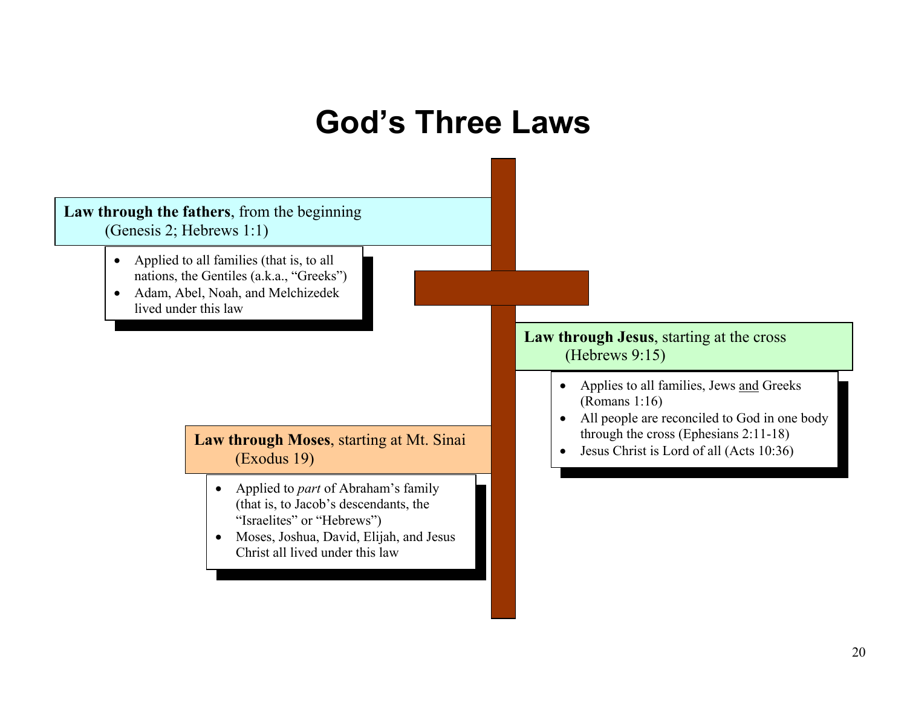## **God's Three Laws**

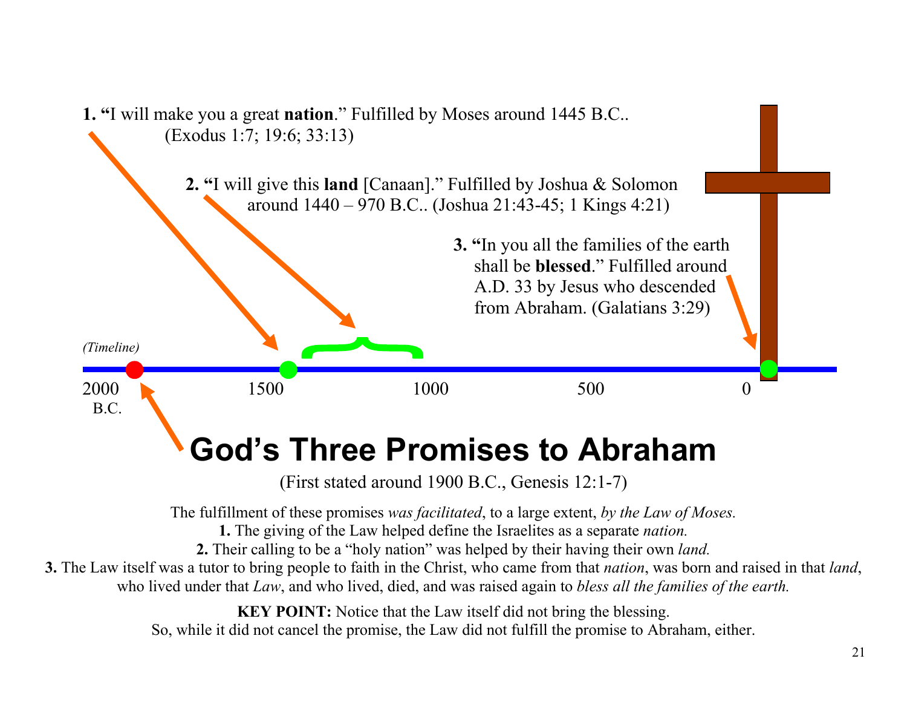

So, while it did not cancel the promise, the Law did not fulfill the promise to Abraham, either.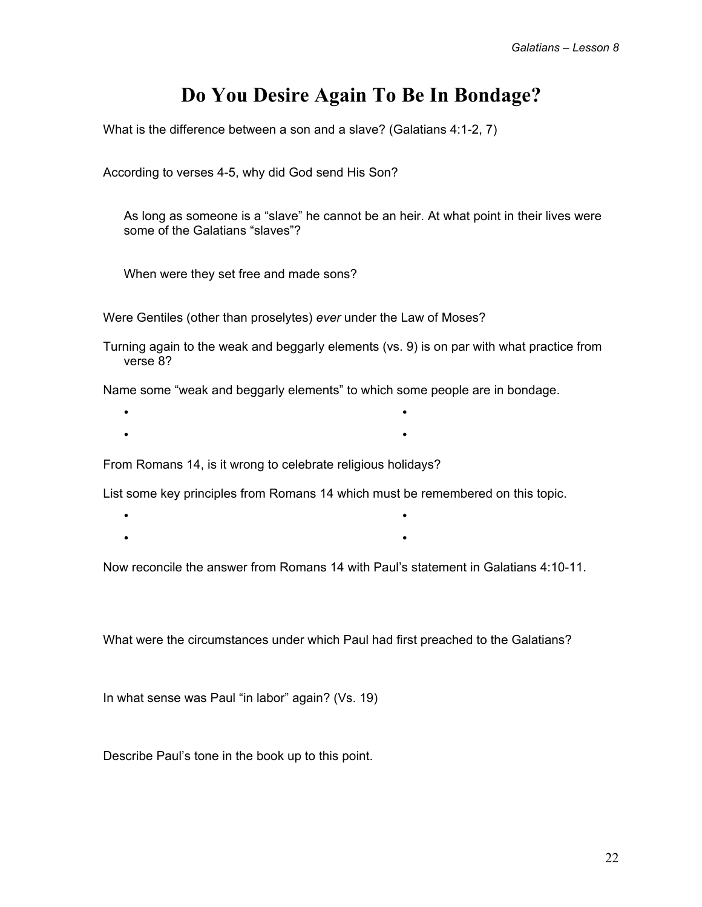## **Do You Desire Again To Be In Bondage?**

What is the difference between a son and a slave? (Galatians 4:1-2, 7)

According to verses 4-5, why did God send His Son?

 As long as someone is a "slave" he cannot be an heir. At what point in their lives were some of the Galatians "slaves"?

When were they set free and made sons?

Were Gentiles (other than proselytes) *ever* under the Law of Moses?

Turning again to the weak and beggarly elements (vs. 9) is on par with what practice from verse 8?

Name some "weak and beggarly elements" to which some people are in bondage.

- •
- •

From Romans 14, is it wrong to celebrate religious holidays?

List some key principles from Romans 14 which must be remembered on this topic.

- •
- •

Now reconcile the answer from Romans 14 with Paul's statement in Galatians 4:10-11.

What were the circumstances under which Paul had first preached to the Galatians?

In what sense was Paul "in labor" again? (Vs. 19)

Describe Paul's tone in the book up to this point.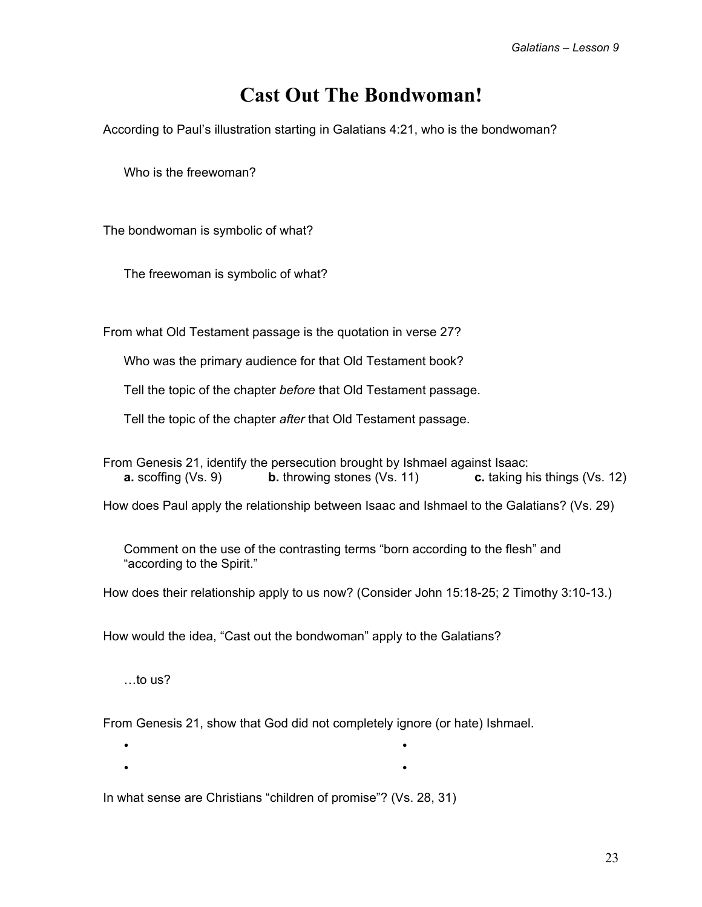## **Cast Out The Bondwoman!**

According to Paul's illustration starting in Galatians 4:21, who is the bondwoman?

Who is the freewoman?

The bondwoman is symbolic of what?

The freewoman is symbolic of what?

From what Old Testament passage is the quotation in verse 27?

Who was the primary audience for that Old Testament book?

Tell the topic of the chapter *before* that Old Testament passage.

Tell the topic of the chapter *after* that Old Testament passage.

From Genesis 21, identify the persecution brought by Ishmael against Isaac: **a.** scoffing (Vs. 9) **b.** throwing stones (Vs. 11) **c.** taking his things (Vs. 12)

How does Paul apply the relationship between Isaac and Ishmael to the Galatians? (Vs. 29)

 Comment on the use of the contrasting terms "born according to the flesh" and "according to the Spirit."

How does their relationship apply to us now? (Consider John 15:18-25; 2 Timothy 3:10-13.)

•

How would the idea, "Cast out the bondwoman" apply to the Galatians?

…to us?

•

From Genesis 21, show that God did not completely ignore (or hate) Ishmael.

• •

In what sense are Christians "children of promise"? (Vs. 28, 31)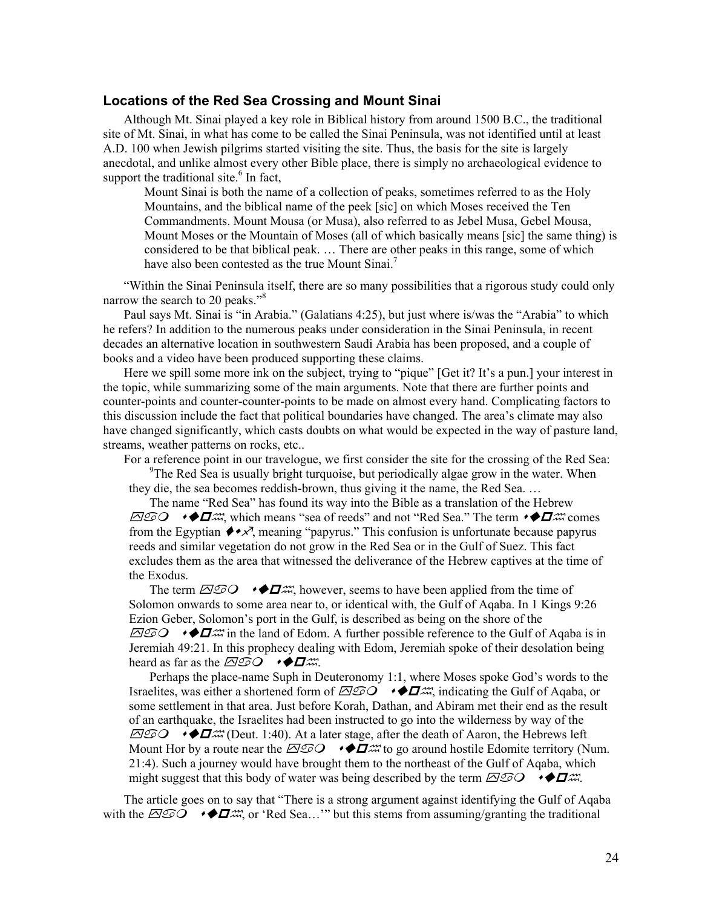#### **Locations of the Red Sea Crossing and Mount Sinai**

Although Mt. Sinai played a key role in Biblical history from around 1500 B.C., the traditional site of Mt. Sinai, in what has come to be called the Sinai Peninsula, was not identified until at least A.D. 100 when Jewish pilgrims started visiting the site. Thus, the basis for the site is largely anecdotal, and unlike almost every other Bible place, there is simply no archaeological evidence to support the traditional site. $6$  In fact,

Mount Sinai is both the name of a collection of peaks, sometimes referred to as the Holy Mountains, and the biblical name of the peek [sic] on which Moses received the Ten Commandments. Mount Mousa (or Musa), also referred to as Jebel Musa, Gebel Mousa, Mount Moses or the Mountain of Moses (all of which basically means [sic] the same thing) is considered to be that biblical peak. … There are other peaks in this range, some of which have also been contested as the true Mount Sinai.<sup>7</sup>

"Within the Sinai Peninsula itself, there are so many possibilities that a rigorous study could only narrow the search to 20 peaks."<sup>8</sup>

Paul says Mt. Sinai is "in Arabia." (Galatians 4:25), but just where is/was the "Arabia" to which he refers? In addition to the numerous peaks under consideration in the Sinai Peninsula, in recent decades an alternative location in southwestern Saudi Arabia has been proposed, and a couple of books and a video have been produced supporting these claims.

Here we spill some more ink on the subject, trying to "pique" [Get it? It's a pun.] your interest in the topic, while summarizing some of the main arguments. Note that there are further points and counter-points and counter-counter-points to be made on almost every hand. Complicating factors to this discussion include the fact that political boundaries have changed. The area's climate may also have changed significantly, which casts doubts on what would be expected in the way of pasture land, streams, weather patterns on rocks, etc..

For a reference point in our travelogue, we first consider the site for the crossing of the Red Sea:

<sup>9</sup>The Red Sea is usually bright turquoise, but periodically algae grow in the water. When they die, the sea becomes reddish-brown, thus giving it the name, the Red Sea. …

The name "Red Sea" has found its way into the Bible as a translation of the Hebrew  $\overline{\triangle}$ O  $\rightarrow$   $\blacktriangleright$   $\blacktriangle$   $\blacktriangle$  which means "sea of reeds" and not "Red Sea." The term  $\rightarrow$   $\blacktriangle$   $\blacktriangle$   $\blacktriangle$   $\blacktriangle$   $\blacktriangle$   $\blacktriangle$   $\blacktriangle$   $\blacktriangle$   $\blacktriangle$   $\blacktriangle$   $\blacktriangle$   $\blacktriangle$   $\blacktriangle$   $\blacktriangle$   $\blacktriangle$   $\blacktriangle$   $\blacktriangle$   $\blacktriangle$   $\blacktriangle$   $\blacktriangle$   $\blacktriangle$  from the Egyptian  $\leftrightarrow \times$ , meaning "papyrus." This confusion is unfortunate because papyrus reeds and similar vegetation do not grow in the Red Sea or in the Gulf of Suez. This fact excludes them as the area that witnessed the deliverance of the Hebrew captives at the time of the Exodus.

The term  $\overline{\triangle O}$   $\rightarrow \bigstar \rightarrow \Box$  however, seems to have been applied from the time of Solomon onwards to some area near to, or identical with, the Gulf of Aqaba. In 1 Kings 9:26 Ezion Geber, Solomon's port in the Gulf, is described as being on the shore of the  $\overline{\triangle}$ O  $\rightarrow$   $\blacktriangleright$   $\blacktriangle$  in the land of Edom. A further possible reference to the Gulf of Aqaba is in Jeremiah 49:21. In this prophecy dealing with Edom, Jeremiah spoke of their desolation being heard as far as the  $\overline{\triangle OQ}$   $\rightarrow \blacklozenge \Box \mathcal{W}$ .

Perhaps the place-name Suph in Deuteronomy 1:1, where Moses spoke God's words to the Israelites, was either a shortened form of  $\overline{\triangle}$   $\odot$   $\rightarrow \bigstar$  indicating the Gulf of Aqaba, or some settlement in that area. Just before Korah, Dathan, and Abiram met their end as the result of an earthquake, the Israelites had been instructed to go into the wilderness by way of the  $\overline{\triangle}$   $\overline{\triangle}$   $\bullet$   $\blacktriangleright$   $\blacktriangle$  (Deut. 1:40). At a later stage, after the death of Aaron, the Hebrews left Mount Hor by a route near the  $\overline{\triangle OQ}$   $\rightarrow$   $\bullet \overline{\bullet}$   $\rightarrow \bullet$  to go around hostile Edomite territory (Num. 21:4). Such a journey would have brought them to the northeast of the Gulf of Aqaba, which might suggest that this body of water was being described by the term  $\Box$ 

The article goes on to say that "There is a strong argument against identifying the Gulf of Aqaba with the  $\overline{\Delta}$   $\odot$   $\rightarrow$   $\bullet$   $\Box$   $\rightarrow$   $\cdots$  (Red Sea..." but this stems from assuming/granting the traditional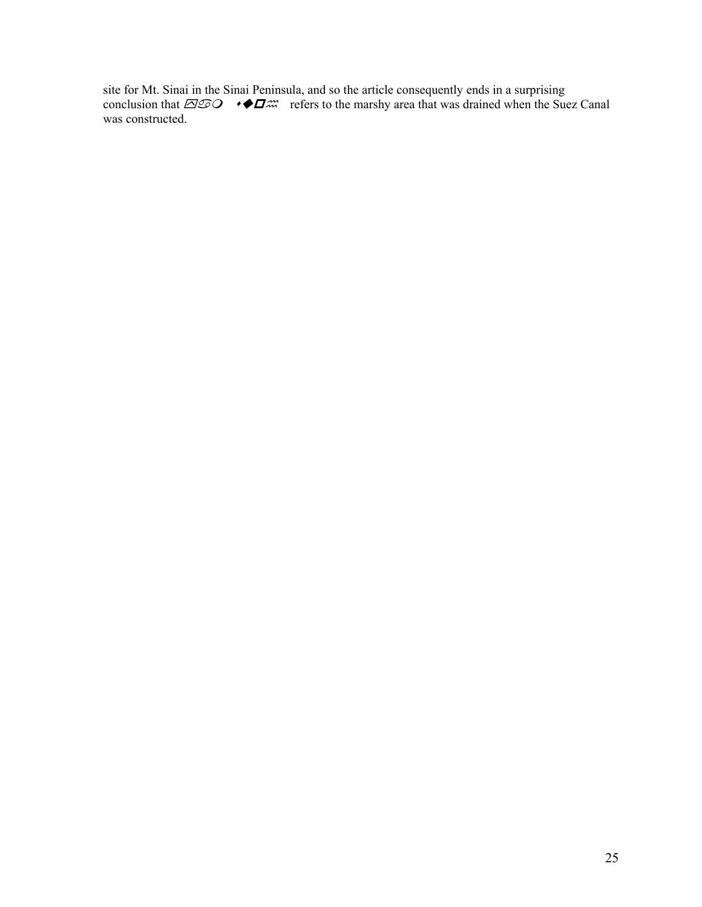site for Mt. Sinai in the Sinai Peninsula, and so the article consequently ends in a surprising conclusion that  $\overline{\triangle}$   $\odot$   $\bullet$   $\bullet$   $\Box$  refers to the marshy area that was drained when the Suez Canal was constructed.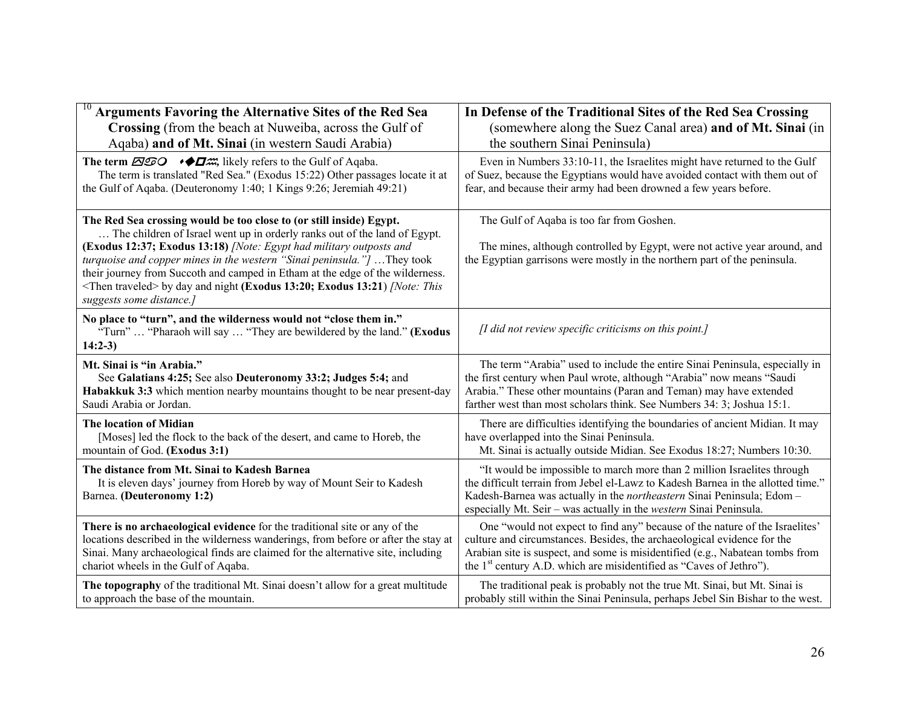| <b>Arguments Favoring the Alternative Sites of the Red Sea</b>                                                                                                                                                                                                                                                                                                                                                                                                                                          | In Defense of the Traditional Sites of the Red Sea Crossing                                                                                                                                                                                                                                                                |
|---------------------------------------------------------------------------------------------------------------------------------------------------------------------------------------------------------------------------------------------------------------------------------------------------------------------------------------------------------------------------------------------------------------------------------------------------------------------------------------------------------|----------------------------------------------------------------------------------------------------------------------------------------------------------------------------------------------------------------------------------------------------------------------------------------------------------------------------|
| Crossing (from the beach at Nuweiba, across the Gulf of                                                                                                                                                                                                                                                                                                                                                                                                                                                 | (somewhere along the Suez Canal area) and of Mt. Sinai (in                                                                                                                                                                                                                                                                 |
| Aqaba) and of Mt. Sinai (in western Saudi Arabia)                                                                                                                                                                                                                                                                                                                                                                                                                                                       | the southern Sinai Peninsula)                                                                                                                                                                                                                                                                                              |
| The term $\overline{\triangle OO}$ $\rightarrow$ $\blacklozenge$ $\Box \nightharpoonup$ likely refers to the Gulf of Aqaba.<br>The term is translated "Red Sea." (Exodus 15:22) Other passages locate it at<br>the Gulf of Aqaba. (Deuteronomy 1:40; 1 Kings 9:26; Jeremiah 49:21)                                                                                                                                                                                                                      | Even in Numbers 33:10-11, the Israelites might have returned to the Gulf<br>of Suez, because the Egyptians would have avoided contact with them out of<br>fear, and because their army had been drowned a few years before.                                                                                                |
| The Red Sea crossing would be too close to (or still inside) Egypt.<br>The children of Israel went up in orderly ranks out of the land of Egypt.<br>(Exodus 12:37; Exodus 13:18) /Note: Egypt had military outposts and<br>turquoise and copper mines in the western "Sinai peninsula."] They took<br>their journey from Succoth and camped in Etham at the edge of the wilderness.<br><then traveled=""> by day and night (Exodus 13:20; Exodus 13:21) /Note: This<br/>suggests some distance.]</then> | The Gulf of Aqaba is too far from Goshen.<br>The mines, although controlled by Egypt, were not active year around, and<br>the Egyptian garrisons were mostly in the northern part of the peninsula.                                                                                                                        |
| No place to "turn", and the wilderness would not "close them in."<br>"Turn"  "Pharaoh will say  "They are bewildered by the land." (Exodus<br>$14:2-3$                                                                                                                                                                                                                                                                                                                                                  | [I did not review specific criticisms on this point.]                                                                                                                                                                                                                                                                      |
| Mt. Sinai is "in Arabia."<br>See Galatians 4:25; See also Deuteronomy 33:2; Judges 5:4; and<br>Habakkuk 3:3 which mention nearby mountains thought to be near present-day<br>Saudi Arabia or Jordan.                                                                                                                                                                                                                                                                                                    | The term "Arabia" used to include the entire Sinai Peninsula, especially in<br>the first century when Paul wrote, although "Arabia" now means "Saudi<br>Arabia." These other mountains (Paran and Teman) may have extended<br>farther west than most scholars think. See Numbers 34: 3; Joshua 15:1.                       |
| The location of Midian<br>[Moses] led the flock to the back of the desert, and came to Horeb, the<br>mountain of God. (Exodus 3:1)                                                                                                                                                                                                                                                                                                                                                                      | There are difficulties identifying the boundaries of ancient Midian. It may<br>have overlapped into the Sinai Peninsula.<br>Mt. Sinai is actually outside Midian. See Exodus 18:27; Numbers 10:30.                                                                                                                         |
| The distance from Mt. Sinai to Kadesh Barnea<br>It is eleven days' journey from Horeb by way of Mount Seir to Kadesh<br>Barnea. (Deuteronomy 1:2)                                                                                                                                                                                                                                                                                                                                                       | "It would be impossible to march more than 2 million Israelites through<br>the difficult terrain from Jebel el-Lawz to Kadesh Barnea in the allotted time."<br>Kadesh-Barnea was actually in the northeastern Sinai Peninsula; Edom -<br>especially Mt. Seir – was actually in the <i>western</i> Sinai Peninsula.         |
| There is no archaeological evidence for the traditional site or any of the<br>locations described in the wilderness wanderings, from before or after the stay at<br>Sinai. Many archaeological finds are claimed for the alternative site, including<br>chariot wheels in the Gulf of Aqaba.                                                                                                                                                                                                            | One "would not expect to find any" because of the nature of the Israelites'<br>culture and circumstances. Besides, the archaeological evidence for the<br>Arabian site is suspect, and some is misidentified (e.g., Nabatean tombs from<br>the 1 <sup>st</sup> century A.D. which are misidentified as "Caves of Jethro"). |
| The topography of the traditional Mt. Sinai doesn't allow for a great multitude<br>to approach the base of the mountain.                                                                                                                                                                                                                                                                                                                                                                                | The traditional peak is probably not the true Mt. Sinai, but Mt. Sinai is<br>probably still within the Sinai Peninsula, perhaps Jebel Sin Bishar to the west.                                                                                                                                                              |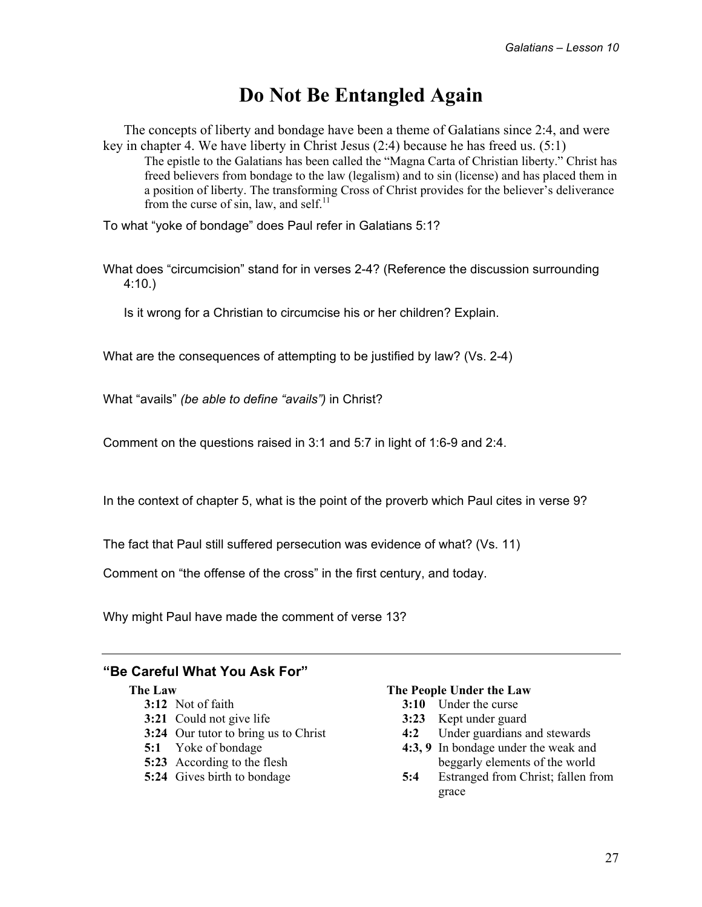## **Do Not Be Entangled Again**

The concepts of liberty and bondage have been a theme of Galatians since 2:4, and were key in chapter 4. We have liberty in Christ Jesus (2:4) because he has freed us. (5:1) The epistle to the Galatians has been called the "Magna Carta of Christian liberty." Christ has freed believers from bondage to the law (legalism) and to sin (license) and has placed them in a position of liberty. The transforming Cross of Christ provides for the believer's deliverance from the curse of sin, law, and self. $^{11}$ 

To what "yoke of bondage" does Paul refer in Galatians 5:1?

What does "circumcision" stand for in verses 2-4? (Reference the discussion surrounding 4:10.)

Is it wrong for a Christian to circumcise his or her children? Explain.

What are the consequences of attempting to be justified by law? (Vs. 2-4)

What "avails" *(be able to define "avails")* in Christ?

Comment on the questions raised in 3:1 and 5:7 in light of 1:6-9 and 2:4.

In the context of chapter 5, what is the point of the proverb which Paul cites in verse 9?

The fact that Paul still suffered persecution was evidence of what? (Vs. 11)

Comment on "the offense of the cross" in the first century, and today.

Why might Paul have made the comment of verse 13?

#### **"Be Careful What You Ask For"**

#### **The Law**

- **3:12** Not of faith
- **3:21** Could not give life
- **3:24** Our tutor to bring us to Christ
- **5:1** Yoke of bondage
- **5:23** According to the flesh
- **5:24** Gives birth to bondage

#### **The People Under the Law**

- **3:10** Under the curse
- **3:23** Kept under guard
- **4:2** Under guardians and stewards
- **4:3, 9** In bondage under the weak and beggarly elements of the world
- **5:4** Estranged from Christ; fallen from grace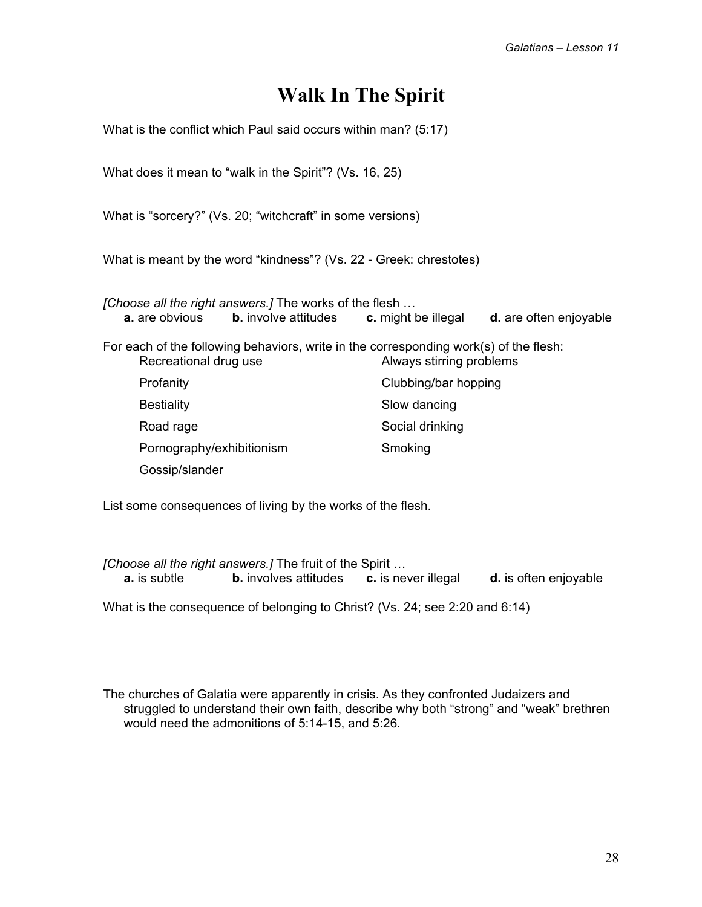## **Walk In The Spirit**

| What is the conflict which Paul said occurs within man? (5:17)                                                 |                                            |
|----------------------------------------------------------------------------------------------------------------|--------------------------------------------|
| What does it mean to "walk in the Spirit"? (Vs. 16, 25)                                                        |                                            |
| What is "sorcery?" (Vs. 20; "witchcraft" in some versions)                                                     |                                            |
| What is meant by the word "kindness"? (Vs. 22 - Greek: chrestotes)                                             |                                            |
| [Choose all the right answers.] The works of the flesh<br><b>a.</b> are obvious<br><b>b.</b> involve attitudes | c. might be illegal d. are often enjoyable |
| For each of the following behaviors, write in the corresponding work(s) of the flesh:<br>Recreational drug use | Always stirring problems                   |
| Profanity                                                                                                      | Clubbing/bar hopping                       |
| <b>Bestiality</b>                                                                                              | Slow dancing                               |
| Road rage                                                                                                      | Social drinking                            |
| Pornography/exhibitionism                                                                                      | Smoking                                    |
| Gossip/slander                                                                                                 |                                            |

List some consequences of living by the works of the flesh.

*[Choose all the right answers.]* The fruit of the Spirit … **a.** is subtle **b.** involves attitudes **c.** is never illegal **d.** is often enjoyable

What is the consequence of belonging to Christ? (Vs. 24; see 2:20 and 6:14)

The churches of Galatia were apparently in crisis. As they confronted Judaizers and struggled to understand their own faith, describe why both "strong" and "weak" brethren would need the admonitions of 5:14-15, and 5:26.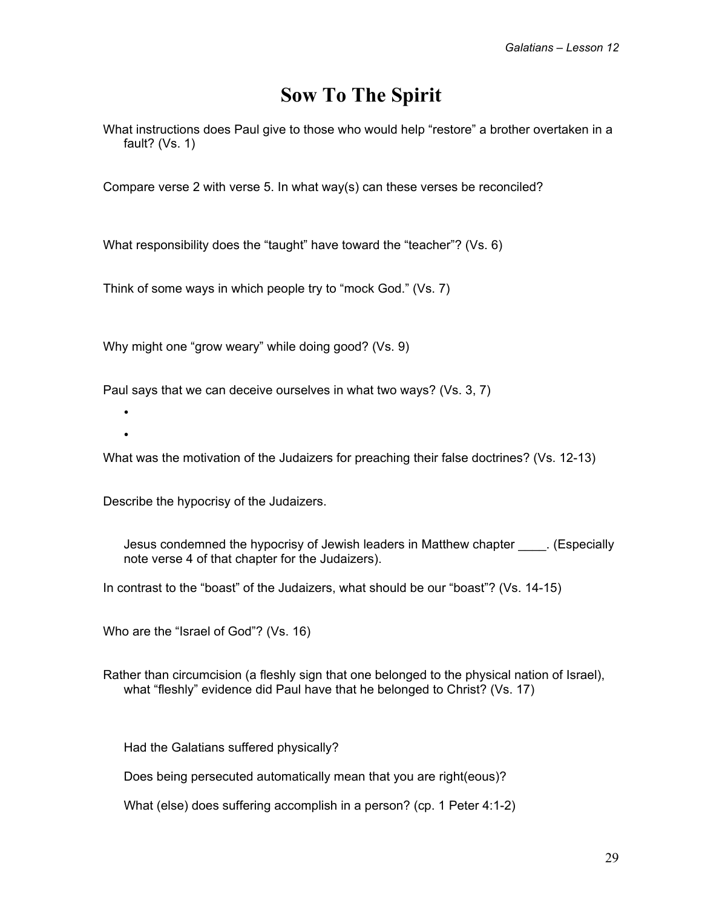## **Sow To The Spirit**

What instructions does Paul give to those who would help "restore" a brother overtaken in a fault? (Vs. 1)

Compare verse 2 with verse 5. In what way(s) can these verses be reconciled?

What responsibility does the "taught" have toward the "teacher"? (Vs. 6)

Think of some ways in which people try to "mock God." (Vs. 7)

Why might one "grow weary" while doing good? (Vs. 9)

Paul says that we can deceive ourselves in what two ways? (Vs. 3, 7)

• •

What was the motivation of the Judaizers for preaching their false doctrines? (Vs. 12-13)

Describe the hypocrisy of the Judaizers.

 Jesus condemned the hypocrisy of Jewish leaders in Matthew chapter \_\_\_\_. (Especially note verse 4 of that chapter for the Judaizers).

In contrast to the "boast" of the Judaizers, what should be our "boast"? (Vs. 14-15)

Who are the "Israel of God"? (Vs. 16)

Rather than circumcision (a fleshly sign that one belonged to the physical nation of Israel), what "fleshly" evidence did Paul have that he belonged to Christ? (Vs. 17)

Had the Galatians suffered physically?

Does being persecuted automatically mean that you are right(eous)?

What (else) does suffering accomplish in a person? (cp. 1 Peter 4:1-2)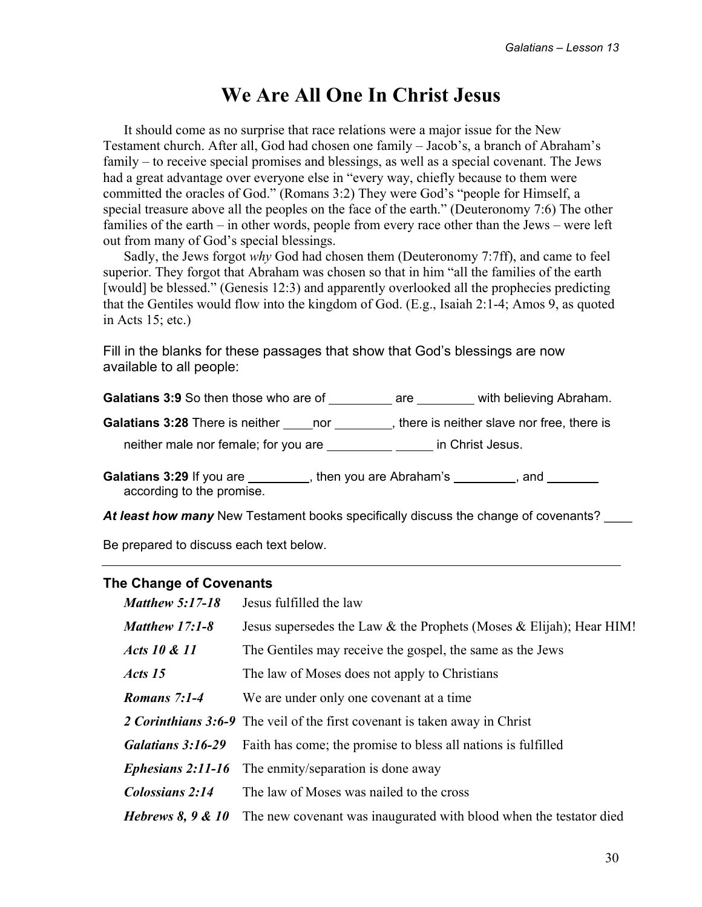## **We Are All One In Christ Jesus**

It should come as no surprise that race relations were a major issue for the New Testament church. After all, God had chosen one family – Jacob's, a branch of Abraham's family – to receive special promises and blessings, as well as a special covenant. The Jews had a great advantage over everyone else in "every way, chiefly because to them were committed the oracles of God." (Romans 3:2) They were God's "people for Himself, a special treasure above all the peoples on the face of the earth." (Deuteronomy 7:6) The other families of the earth – in other words, people from every race other than the Jews – were left out from many of God's special blessings.

Sadly, the Jews forgot *why* God had chosen them (Deuteronomy 7:7ff), and came to feel superior. They forgot that Abraham was chosen so that in him "all the families of the earth [would] be blessed." (Genesis 12:3) and apparently overlooked all the prophecies predicting that the Gentiles would flow into the kingdom of God. (E.g., Isaiah 2:1-4; Amos 9, as quoted in Acts 15; etc.)

Fill in the blanks for these passages that show that God's blessings are now available to all people:

**Galatians 3:9** So then those who are of are are with believing Abraham.

**Galatians 3:28** There is neither nor nor , there is neither slave nor free, there is

neither male nor female; for you are **informally** in Christ Jesus.

Galatians 3:29 If you are *\_\_\_\_\_\_\_\_*, then you are Abraham's *\_\_\_\_\_\_\_*, and *\_\_\_\_\_\_* according to the promise.

At least how many New Testament books specifically discuss the change of covenants?

Be prepared to discuss each text below.

#### **The Change of Covenants**

| <b>Matthew 5:17-18</b> | Jesus fulfilled the law                                                           |
|------------------------|-----------------------------------------------------------------------------------|
| <b>Matthew 17:1-8</b>  | Jesus supersedes the Law $\&$ the Prophets (Moses $\&$ Elijah); Hear HIM!         |
| Acts 10 & 11           | The Gentiles may receive the gospel, the same as the Jews                         |
| Acts 15                | The law of Moses does not apply to Christians                                     |
| Romans 7:1-4           | We are under only one covenant at a time                                          |
|                        | 2 <i>Corinthians</i> 3:6-9 The veil of the first covenant is taken away in Christ |
| Galatians 3:16-29      | Faith has come; the promise to bless all nations is fulfilled                     |
| Ephesians 2:11-16      | The enmity/separation is done away                                                |
| Colossians 2:14        | The law of Moses was nailed to the cross                                          |
| Hebrews $8, 9 & 10$    | The new covenant was inaugurated with blood when the testator died                |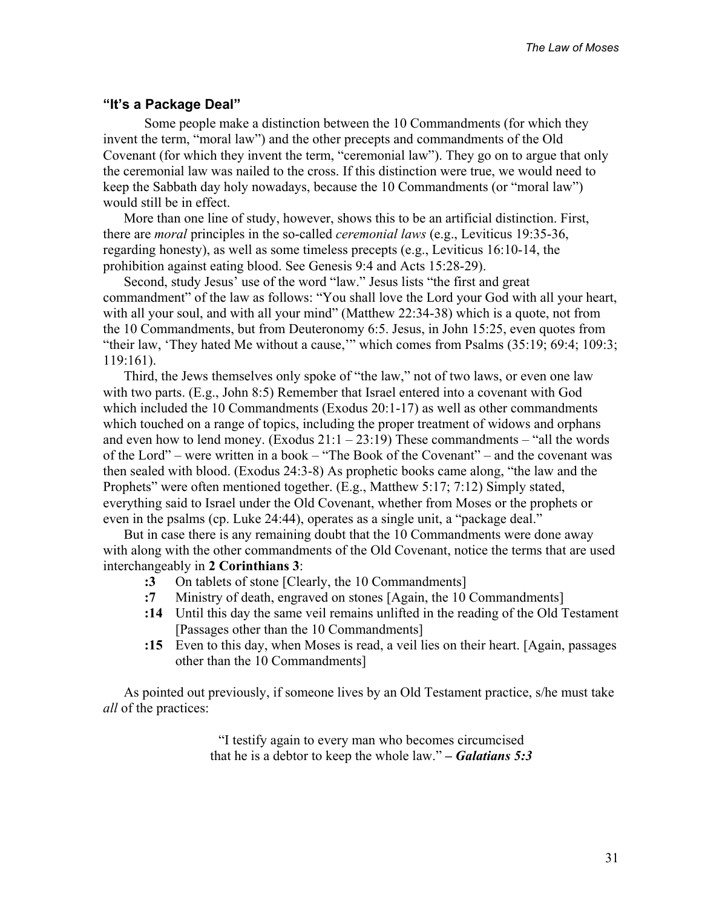#### **"It's a Package Deal"**

 Some people make a distinction between the 10 Commandments (for which they invent the term, "moral law") and the other precepts and commandments of the Old Covenant (for which they invent the term, "ceremonial law"). They go on to argue that only the ceremonial law was nailed to the cross. If this distinction were true, we would need to keep the Sabbath day holy nowadays, because the 10 Commandments (or "moral law") would still be in effect.

More than one line of study, however, shows this to be an artificial distinction. First, there are *moral* principles in the so-called *ceremonial laws* (e.g., Leviticus 19:35-36, regarding honesty), as well as some timeless precepts (e.g., Leviticus 16:10-14, the prohibition against eating blood. See Genesis 9:4 and Acts 15:28-29).

Second, study Jesus' use of the word "law." Jesus lists "the first and great commandment" of the law as follows: "You shall love the Lord your God with all your heart, with all your soul, and with all your mind" (Matthew 22:34-38) which is a quote, not from the 10 Commandments, but from Deuteronomy 6:5. Jesus, in John 15:25, even quotes from "their law, 'They hated Me without a cause,'" which comes from Psalms (35:19; 69:4; 109:3; 119:161).

Third, the Jews themselves only spoke of "the law," not of two laws, or even one law with two parts. (E.g., John 8:5) Remember that Israel entered into a covenant with God which included the 10 Commandments (Exodus 20:1-17) as well as other commandments which touched on a range of topics, including the proper treatment of widows and orphans and even how to lend money. (Exodus  $21:1 - 23:19$ ) These commandments – "all the words of the Lord" – were written in a book – "The Book of the Covenant" – and the covenant was then sealed with blood. (Exodus 24:3-8) As prophetic books came along, "the law and the Prophets" were often mentioned together. (E.g., Matthew 5:17; 7:12) Simply stated, everything said to Israel under the Old Covenant, whether from Moses or the prophets or even in the psalms (cp. Luke 24:44), operates as a single unit, a "package deal."

But in case there is any remaining doubt that the 10 Commandments were done away with along with the other commandments of the Old Covenant, notice the terms that are used interchangeably in **2 Corinthians 3**:

- **:3** On tablets of stone [Clearly, the 10 Commandments]
- **:7** Ministry of death, engraved on stones [Again, the 10 Commandments]
- **:14** Until this day the same veil remains unlifted in the reading of the Old Testament [Passages other than the 10 Commandments]
- **:15** Even to this day, when Moses is read, a veil lies on their heart. [Again, passages other than the 10 Commandments]

As pointed out previously, if someone lives by an Old Testament practice, s/he must take *all* of the practices:

> "I testify again to every man who becomes circumcised that he is a debtor to keep the whole law." *– Galatians 5:3*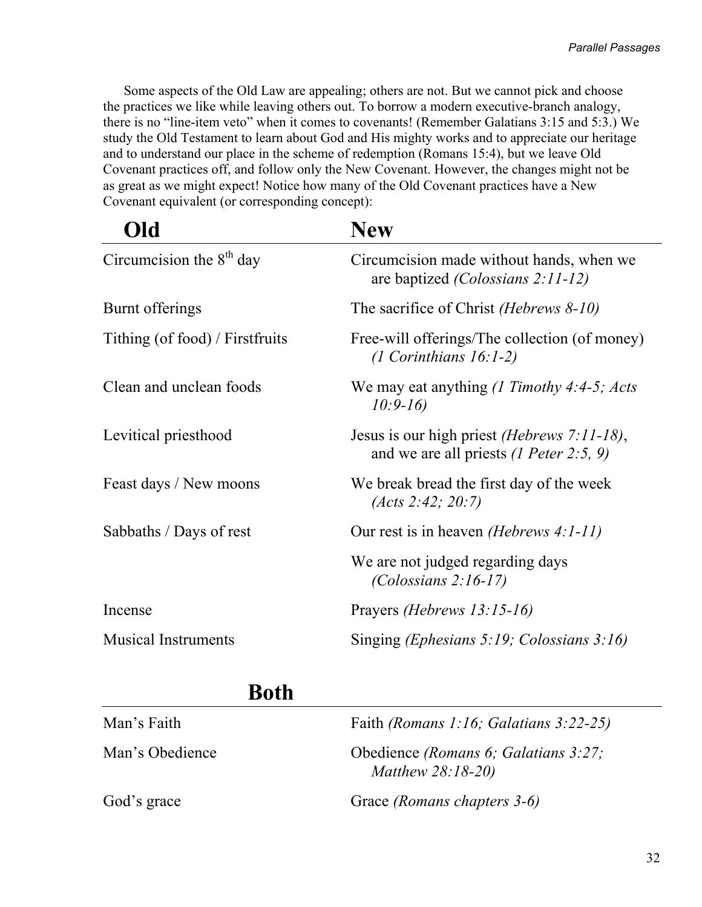Some aspects of the Old Law are appealing; others are not. But we cannot pick and choose the practices we like while leaving others out. To borrow a modern executive-branch analogy, there is no "line-item veto" when it comes to covenants! (Remember Galatians 3:15 and 5:3.) We study the Old Testament to learn about God and His mighty works and to appreciate our heritage and to understand our place in the scheme of redemption (Romans 15:4), but we leave Old Covenant practices off, and follow only the New Covenant. However, the changes might not be as great as we might expect! Notice how many of the Old Covenant practices have a New Covenant equivalent (or corresponding concept):

| Old                             | <b>New</b>                                                                                              |
|---------------------------------|---------------------------------------------------------------------------------------------------------|
| Circumcision the $8th$ day      | Circumcision made without hands, when we<br>are baptized <i>(Colossians 2:11-12)</i>                    |
| Burnt offerings                 | The sacrifice of Christ ( <i>Hebrews 8-10</i> )                                                         |
| Tithing (of food) / Firstfruits | Free-will offerings/The collection (of money)<br>$(1$ Corinthians $16:1-2)$                             |
| Clean and unclean foods         | We may eat anything $(1$ Timothy 4:4-5; Acts<br>$10:9-16$                                               |
| Levitical priesthood            | Jesus is our high priest <i>(Hebrews 7:11-18)</i> ,<br>and we are all priests $(1$ <i>Peter</i> 2:5, 9) |
| Feast days / New moons          | We break bread the first day of the week<br>(Acts 2:42; 20:7)                                           |
| Sabbaths / Days of rest         | Our rest is in heaven <i>(Hebrews 4:1-11)</i>                                                           |
|                                 | We are not judged regarding days<br>$(Colossians 2:16-17)$                                              |
| Incense                         | Prayers (Hebrews 13:15-16)                                                                              |
| <b>Musical Instruments</b>      | Singing ( <i>Ephesians 5:19</i> ; <i>Colossians 3:16</i> )                                              |
|                                 |                                                                                                         |

## **Both**

| Man's Faith     | Faith (Romans 1:16; Galatians $3:22-25$ )                  |
|-----------------|------------------------------------------------------------|
| Man's Obedience | Obedience (Romans 6; Galatians 3:27;<br>Matthew $28:18-20$ |
| God's grace     | Grace (Romans chapters 3-6)                                |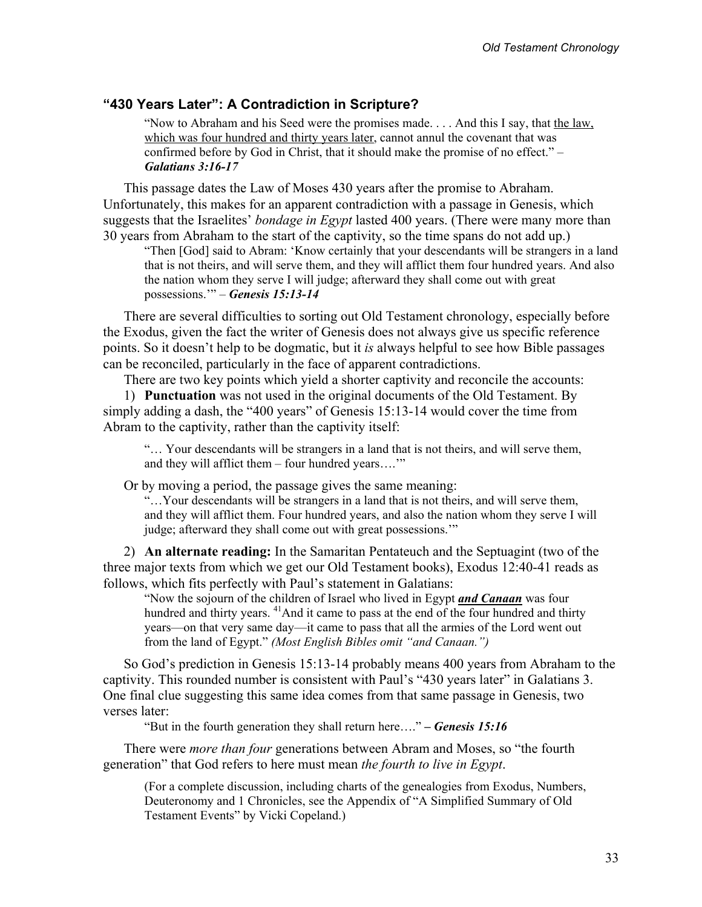#### **"430 Years Later": A Contradiction in Scripture?**

"Now to Abraham and his Seed were the promises made. . . . And this I say, that the law, which was four hundred and thirty years later, cannot annul the covenant that was confirmed before by God in Christ, that it should make the promise of no effect." – *Galatians 3:16-17* 

This passage dates the Law of Moses 430 years after the promise to Abraham. Unfortunately, this makes for an apparent contradiction with a passage in Genesis, which suggests that the Israelites' *bondage in Egypt* lasted 400 years. (There were many more than 30 years from Abraham to the start of the captivity, so the time spans do not add up.)

"Then [God] said to Abram: 'Know certainly that your descendants will be strangers in a land that is not theirs, and will serve them, and they will afflict them four hundred years. And also the nation whom they serve I will judge; afterward they shall come out with great possessions.'" – *Genesis 15:13-14* 

There are several difficulties to sorting out Old Testament chronology, especially before the Exodus, given the fact the writer of Genesis does not always give us specific reference points. So it doesn't help to be dogmatic, but it *is* always helpful to see how Bible passages can be reconciled, particularly in the face of apparent contradictions.

There are two key points which yield a shorter captivity and reconcile the accounts:

1) **Punctuation** was not used in the original documents of the Old Testament. By simply adding a dash, the "400 years" of Genesis 15:13-14 would cover the time from Abram to the captivity, rather than the captivity itself:

"… Your descendants will be strangers in a land that is not theirs, and will serve them, and they will afflict them – four hundred years….'"

Or by moving a period, the passage gives the same meaning:

"…Your descendants will be strangers in a land that is not theirs, and will serve them, and they will afflict them. Four hundred years, and also the nation whom they serve I will judge; afterward they shall come out with great possessions.'"

2) **An alternate reading:** In the Samaritan Pentateuch and the Septuagint (two of the three major texts from which we get our Old Testament books), Exodus 12:40-41 reads as follows, which fits perfectly with Paul's statement in Galatians:

"Now the sojourn of the children of Israel who lived in Egypt *and Canaan* was four hundred and thirty years. <sup>41</sup>And it came to pass at the end of the four hundred and thirty years—on that very same day—it came to pass that all the armies of the Lord went out from the land of Egypt." *(Most English Bibles omit "and Canaan.")*

So God's prediction in Genesis 15:13-14 probably means 400 years from Abraham to the captivity. This rounded number is consistent with Paul's "430 years later" in Galatians 3. One final clue suggesting this same idea comes from that same passage in Genesis, two verses later:

"But in the fourth generation they shall return here…." *– Genesis 15:16* 

There were *more than four* generations between Abram and Moses, so "the fourth generation" that God refers to here must mean *the fourth to live in Egypt*.

(For a complete discussion, including charts of the genealogies from Exodus, Numbers, Deuteronomy and 1 Chronicles, see the Appendix of "A Simplified Summary of Old Testament Events" by Vicki Copeland.)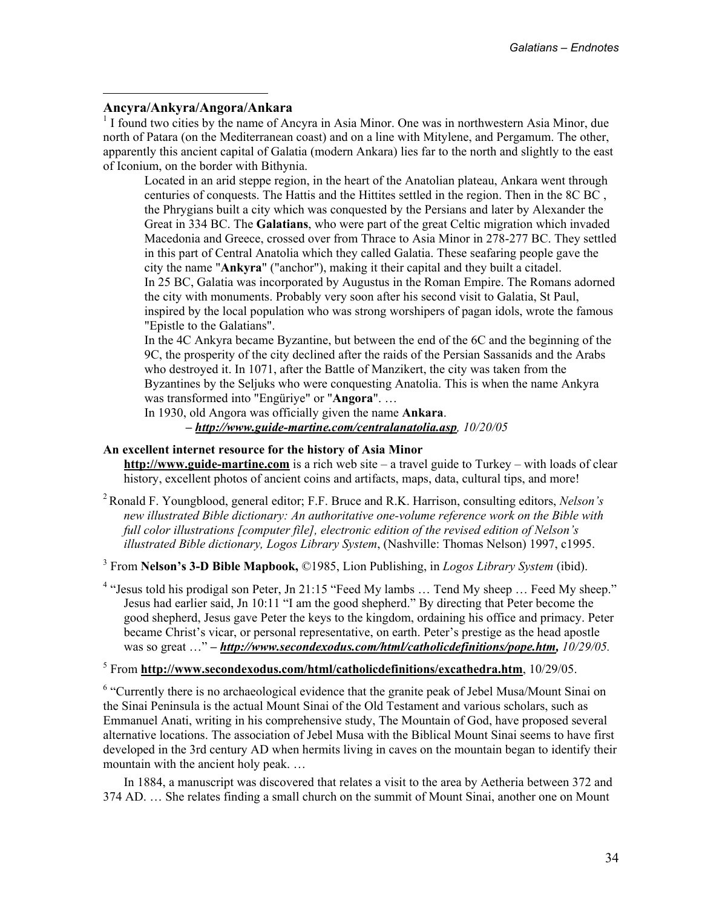#### **Ancyra/Ankyra/Angora/Ankara**

 $\overline{a}$ 

<sup>1</sup> I found two cities by the name of Ancyra in Asia Minor. One was in northwestern Asia Minor, due north of Patara (on the Mediterranean coast) and on a line with Mitylene, and Pergamum. The other, apparently this ancient capital of Galatia (modern Ankara) lies far to the north and slightly to the east of Iconium, on the border with Bithynia.

Located in an arid steppe region, in the heart of the Anatolian plateau, Ankara went through centuries of conquests. The Hattis and the Hittites settled in the region. Then in the 8C BC , the Phrygians built a city which was conquested by the Persians and later by Alexander the Great in 334 BC. The **Galatians**, who were part of the great Celtic migration which invaded Macedonia and Greece, crossed over from Thrace to Asia Minor in 278-277 BC. They settled in this part of Central Anatolia which they called Galatia. These seafaring people gave the city the name "**Ankyra**" ("anchor"), making it their capital and they built a citadel. In 25 BC, Galatia was incorporated by Augustus in the Roman Empire. The Romans adorned the city with monuments. Probably very soon after his second visit to Galatia, St Paul, inspired by the local population who was strong worshipers of pagan idols, wrote the famous "Epistle to the Galatians".

In the 4C Ankyra became Byzantine, but between the end of the 6C and the beginning of the 9C, the prosperity of the city declined after the raids of the Persian Sassanids and the Arabs who destroyed it. In 1071, after the Battle of Manzikert, the city was taken from the Byzantines by the Seljuks who were conquesting Anatolia. This is when the name Ankyra was transformed into "Engüriye" or "**Angora**". …

In 1930, old Angora was officially given the name **Ankara**. *– http://www.guide-martine.com/centralanatolia.asp, 10/20/05* 

#### **An excellent internet resource for the history of Asia Minor**

**http://www.guide-martine.com** is a rich web site – a travel guide to Turkey – with loads of clear history, excellent photos of ancient coins and artifacts, maps, data, cultural tips, and more!

2 Ronald F. Youngblood, general editor; F.F. Bruce and R.K. Harrison, consulting editors, *Nelson's new illustrated Bible dictionary: An authoritative one-volume reference work on the Bible with full color illustrations [computer file], electronic edition of the revised edition of Nelson's illustrated Bible dictionary, Logos Library System*, (Nashville: Thomas Nelson) 1997, c1995.

3 From **Nelson's 3-D Bible Mapbook,** ©1985, Lion Publishing, in *Logos Library System* (ibid).

<sup>4</sup> "Jesus told his prodigal son Peter, Jn 21:15 "Feed My lambs ... Tend My sheep ... Feed My sheep." Jesus had earlier said, Jn 10:11 "I am the good shepherd." By directing that Peter become the good shepherd, Jesus gave Peter the keys to the kingdom, ordaining his office and primacy. Peter became Christ's vicar, or personal representative, on earth. Peter's prestige as the head apostle was so great ..." – http://www.secondexodus.com/html/catholicdefinitions/pope.htm,  $10/29/05$ .

#### 5 From **http://www.secondexodus.com/html/catholicdefinitions/excathedra.htm**, 10/29/05.

<sup>6</sup> "Currently there is no archaeological evidence that the granite peak of Jebel Musa/Mount Sinai on the Sinai Peninsula is the actual Mount Sinai of the Old Testament and various scholars, such as Emmanuel Anati, writing in his comprehensive study, The Mountain of God, have proposed several alternative locations. The association of Jebel Musa with the Biblical Mount Sinai seems to have first developed in the 3rd century AD when hermits living in caves on the mountain began to identify their mountain with the ancient holy peak. …

In 1884, a manuscript was discovered that relates a visit to the area by Aetheria between 372 and 374 AD. … She relates finding a small church on the summit of Mount Sinai, another one on Mount